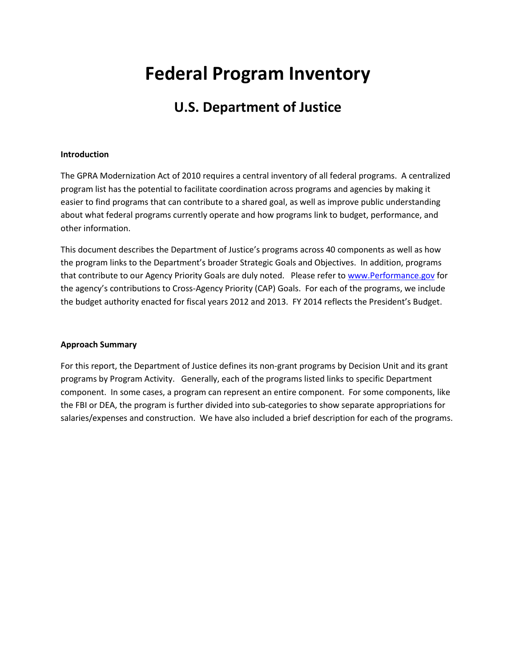# **Federal Program Inventory**

# **U.S. Department of Justice**

### **Introduction**

The GPRA Modernization Act of 2010 requires a central inventory of all federal programs. A centralized program list has the potential to facilitate coordination across programs and agencies by making it easier to find programs that can contribute to a shared goal, as well as improve public understanding about what federal programs currently operate and how programs link to budget, performance, and other information.

This document describes the Department of Justice's programs across 40 components as well as how the program links to the Department's broader Strategic Goals and Objectives. In addition, programs that contribute to our Agency Priority Goals are duly noted. Please refer to [www.Performance.gov](http://www.performance.gov/) for the agency's contributions to Cross-Agency Priority (CAP) Goals. For each of the programs, we include the budget authority enacted for fiscal years 2012 and 2013. FY 2014 reflects the President's Budget.

### **Approach Summary**

For this report, the Department of Justice defines its non-grant programs by Decision Unit and its grant programs by Program Activity. Generally, each of the programs listed links to specific Department component. In some cases, a program can represent an entire component. For some components, like the FBI or DEA, the program is further divided into sub-categories to show separate appropriations for salaries/expenses and construction. We have also included a brief description for each of the programs.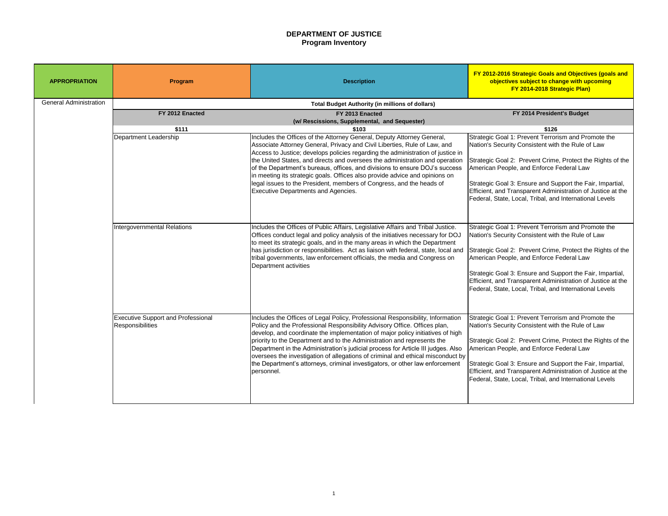### **FY 2014 President's Budget**

Strategic Goal 1: Prevent Terrorism and Promote the Nation's Security Consistent with the Rule of Law

Strategic Goal 2: Prevent Crime, Protect the Rights of the American People, and Enforce Federal Law

Strategic Goal 3: Ensure and Support the Fair, Impartial, Efficient, and Transparent Administration of Justice at the Federal, State, Local, Tribal, and International Levels

| <b>APPROPRIATION</b>          | Program                                                              | <b>Description</b>                                                                                                                                                                                                                                                                                                                                                                                                                                                                                                                                                                                         | <b>FY 2012-2016 Strategic Goals</b><br>objectives subject to cha<br>FY 2014-2018 Str                                                                                                                                                                         |
|-------------------------------|----------------------------------------------------------------------|------------------------------------------------------------------------------------------------------------------------------------------------------------------------------------------------------------------------------------------------------------------------------------------------------------------------------------------------------------------------------------------------------------------------------------------------------------------------------------------------------------------------------------------------------------------------------------------------------------|--------------------------------------------------------------------------------------------------------------------------------------------------------------------------------------------------------------------------------------------------------------|
| <b>General Administration</b> |                                                                      | <b>Total Budget Authority (in millions of dollars)</b>                                                                                                                                                                                                                                                                                                                                                                                                                                                                                                                                                     |                                                                                                                                                                                                                                                              |
|                               | FY 2012 Enacted                                                      | FY 2013 Enacted                                                                                                                                                                                                                                                                                                                                                                                                                                                                                                                                                                                            | FY 2014 Preside                                                                                                                                                                                                                                              |
|                               | \$111                                                                | (w/ Rescissions, Supplemental, and Sequester)<br>\$103                                                                                                                                                                                                                                                                                                                                                                                                                                                                                                                                                     | \$126                                                                                                                                                                                                                                                        |
|                               | Department Leadership                                                | Includes the Offices of the Attorney General, Deputy Attorney General,<br>Associate Attorney General, Privacy and Civil Liberties, Rule of Law, and<br>Access to Justice; develops policies regarding the administration of justice in<br>the United States, and directs and oversees the administration and operation<br>of the Department's bureaus, offices, and divisions to ensure DOJ's success<br>In meeting its strategic goals. Offices also provide advice and opinions on<br>legal issues to the President, members of Congress, and the heads of<br><b>Executive Departments and Agencies.</b> | Strategic Goal 1: Prevent Terror<br>Nation's Security Consistent wit<br>Strategic Goal 2: Prevent Crime<br>American People, and Enforce I<br>Strategic Goal 3: Ensure and Su<br>Efficient, and Transparent Admi<br>Federal, State, Local, Tribal, and        |
|                               | <b>Intergovernmental Relations</b>                                   | Includes the Offices of Public Affairs, Legislative Affairs and Tribal Justice.<br>Offices conduct legal and policy analysis of the initiatives necessary for DOJ<br>to meet its strategic goals, and in the many areas in which the Department<br>has jurisdiction or responsibilities. Act as liaison with federal, state, local and<br>tribal governments, law enforcement officials, the media and Congress on<br>Department activities                                                                                                                                                                | Strategic Goal 1: Prevent Terror<br>Nation's Security Consistent wit<br>Strategic Goal 2: Prevent Crime<br>American People, and Enforce I<br>Strategic Goal 3: Ensure and Su<br><b>Efficient, and Transparent Admi</b><br>Federal, State, Local, Tribal, and |
|                               | <b>Executive Support and Professional</b><br><b>Responsibilities</b> | Includes the Offices of Legal Policy, Professional Responsibility, Information<br>Policy and the Professional Responsibility Advisory Office. Offices plan,<br>develop, and coordinate the implementation of major policy initiatives of high<br>priority to the Department and to the Administration and represents the<br>Department in the Administration's judicial process for Article III judges. Also<br>oversees the investigation of allegations of criminal and ethical misconduct by<br>the Department's attorneys, criminal investigators, or other law enforcement<br>personnel.              | Strategic Goal 1: Prevent Terror<br>Nation's Security Consistent wit<br>Strategic Goal 2: Prevent Crime<br>American People, and Enforce I<br>Strategic Goal 3: Ensure and Su<br><b>Efficient, and Transparent Admi</b><br>Federal, State, Local, Tribal, and |

Strategic Goal 1: Prevent Terrorism and Promote the Nation's Security Consistent with the Rule of Law

Strategic Goal 2: Prevent Crime, Protect the Rights of the American People, and Enforce Federal Law

Strategic Goal 3: Ensure and Support the Fair, Impartial, Efficient, and Transparent Administration of Justice at the Federal, State, Local, Tribal, and International Levels

Strategic Goal 1: Prevent Terrorism and Promote the Nation's Security Consistent with the Rule of Law

Strategic Goal 2: Prevent Crime, Protect the Rights of the American People, and Enforce Federal Law

Strategic Goal 3: Ensure and Support the Fair, Impartial, Efficient, and Transparent Administration of Justice at the Federal, State, Local, Tribal, and International Levels

# **DEPARTMENT OF JUSTICE Program Inventory**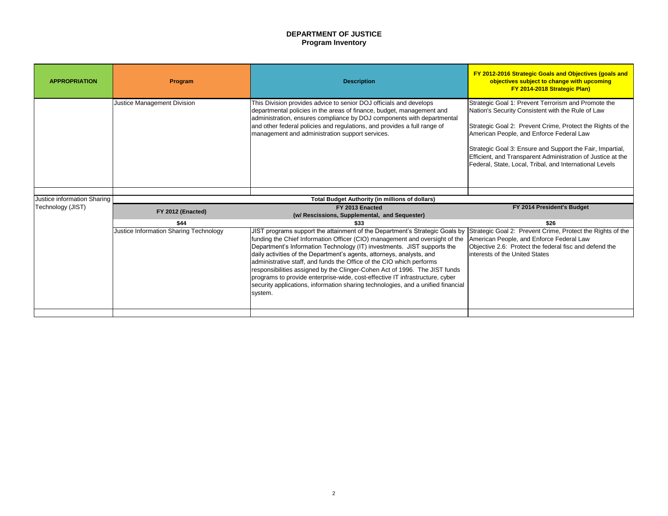# **DEPARTMENT OF JUSTICE Program Inventory**

Strategic Goal 1: Prevent Terrorism and Promote the Nation's Security Consistent with the Rule of Law

Strategic Goal 2: Prevent Crime, Protect the Rights of the American People, and Enforce Federal Law

Strategic Goal 3: Ensure and Support the Fair, Impartial, Efficient, and Transparent Administration of Justice at the Federal, State, Local, Tribal, and International Levels

| <b>APPROPRIATION</b>                             | Program                                                                                      | <b>Description</b>                                                                                                                                                                                                                                                                                                                                                                                                                                                                                                                                                                                                                                  | FY 2012-2016 Strategic Goals<br>objectives subject to ch<br>FY 2014-2018 St                                                                                                                                                                    |  |  |
|--------------------------------------------------|----------------------------------------------------------------------------------------------|-----------------------------------------------------------------------------------------------------------------------------------------------------------------------------------------------------------------------------------------------------------------------------------------------------------------------------------------------------------------------------------------------------------------------------------------------------------------------------------------------------------------------------------------------------------------------------------------------------------------------------------------------------|------------------------------------------------------------------------------------------------------------------------------------------------------------------------------------------------------------------------------------------------|--|--|
|                                                  | <b>Justice Management Division</b>                                                           | This Division provides advice to senior DOJ officials and develops<br>departmental policies in the areas of finance, budget, management and<br>administration, ensures compliance by DOJ components with departmental<br>and other federal policies and regulations, and provides a full range of<br>management and administration support services.                                                                                                                                                                                                                                                                                                | Strategic Goal 1: Prevent Terro<br>Nation's Security Consistent wit<br>Strategic Goal 2: Prevent Crim<br>American People, and Enforce<br>Strategic Goal 3: Ensure and S<br>Efficient, and Transparent Adm<br>Federal, State, Local, Tribal, ar |  |  |
|                                                  |                                                                                              |                                                                                                                                                                                                                                                                                                                                                                                                                                                                                                                                                                                                                                                     |                                                                                                                                                                                                                                                |  |  |
| Justice information Sharing<br>Technology (JIST) | <b>Total Budget Authority (in millions of dollars)</b><br>FY 2014 Preside<br>FY 2013 Enacted |                                                                                                                                                                                                                                                                                                                                                                                                                                                                                                                                                                                                                                                     |                                                                                                                                                                                                                                                |  |  |
|                                                  | FY 2012 (Enacted)                                                                            | (w/ Rescissions, Supplemental, and Sequester)                                                                                                                                                                                                                                                                                                                                                                                                                                                                                                                                                                                                       |                                                                                                                                                                                                                                                |  |  |
|                                                  | \$44                                                                                         | \$33                                                                                                                                                                                                                                                                                                                                                                                                                                                                                                                                                                                                                                                | \$26                                                                                                                                                                                                                                           |  |  |
|                                                  | Justice Information Sharing Technology                                                       | JIST programs support the attainment of the Department's Strategic Goals by<br>funding the Chief Information Officer (CIO) management and oversight of the<br>Department's Information Technology (IT) investments. JIST supports the<br>daily activities of the Department's agents, attorneys, analysts, and<br>administrative staff, and funds the Office of the CIO which performs<br>responsibilities assigned by the Clinger-Cohen Act of 1996. The JIST funds<br>programs to provide enterprise-wide, cost-effective IT infrastructure, cyber<br>security applications, information sharing technologies, and a unified financial<br>system. | Strategic Goal 2: Prevent Crim<br>American People, and Enforce<br>Objective 2.6: Protect the fede<br>interests of the United States                                                                                                            |  |  |
|                                                  |                                                                                              |                                                                                                                                                                                                                                                                                                                                                                                                                                                                                                                                                                                                                                                     |                                                                                                                                                                                                                                                |  |  |

# **FY 2014 President's Budget**

Strategic Goal 2: Prevent Crime, Protect the Rights of the American People, and Enforce Federal Law Objective 2.6: Protect the federal fisc and defend the interests of the United States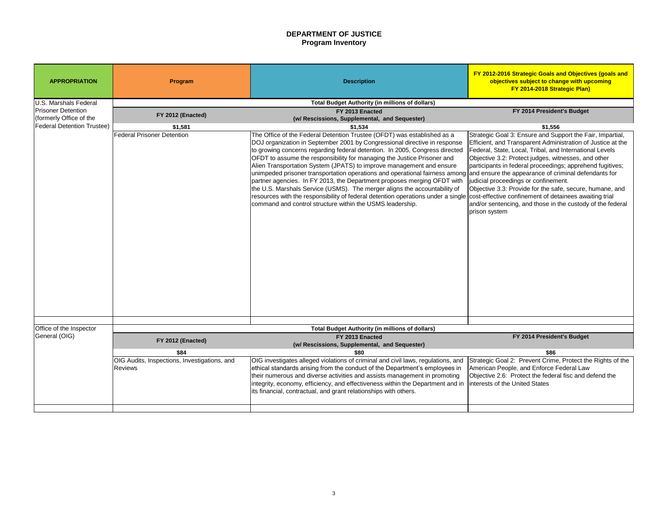# **DEPARTMENT OF JUSTICE Program Inventory**

# **FY 2014 President's Budget**

Strategic Goal 3: Ensure and Support the Fair, Impartial, Efficient, and Transparent Administration of Justice at the Federal, State, Local, Tribal, and International Levels Objective 3.2: Protect judges, witnesses, and other participants in federal proceedings; apprehend fugitives; and ensure the appearance of criminal defendants for judicial proceedings or confinement.

| <b>APPROPRIATION</b>                                 | Program                                                        | <b>Description</b>                                                                                                                                                                                                                                                                                                                                                                                                                                                                                                                                                                                                                                                                                                                                                                                                                               | FY 2012-2016 Strategic Goals a<br>objectives subject to cha<br><b>FY 2014-2018 Stra</b>                                                                                                                                                                                                                                         |
|------------------------------------------------------|----------------------------------------------------------------|--------------------------------------------------------------------------------------------------------------------------------------------------------------------------------------------------------------------------------------------------------------------------------------------------------------------------------------------------------------------------------------------------------------------------------------------------------------------------------------------------------------------------------------------------------------------------------------------------------------------------------------------------------------------------------------------------------------------------------------------------------------------------------------------------------------------------------------------------|---------------------------------------------------------------------------------------------------------------------------------------------------------------------------------------------------------------------------------------------------------------------------------------------------------------------------------|
| U.S. Marshals Federal                                |                                                                | <b>Total Budget Authority (in millions of dollars)</b>                                                                                                                                                                                                                                                                                                                                                                                                                                                                                                                                                                                                                                                                                                                                                                                           |                                                                                                                                                                                                                                                                                                                                 |
| <b>Prisoner Detention</b><br>(formerly Office of the | FY 2012 (Enacted)                                              | FY 2013 Enacted<br>(w/ Rescissions, Supplemental, and Sequester)                                                                                                                                                                                                                                                                                                                                                                                                                                                                                                                                                                                                                                                                                                                                                                                 | FY 2014 Presider                                                                                                                                                                                                                                                                                                                |
| <b>Federal Detention Trustee)</b>                    | \$1,581                                                        | \$1,534                                                                                                                                                                                                                                                                                                                                                                                                                                                                                                                                                                                                                                                                                                                                                                                                                                          | \$1,556                                                                                                                                                                                                                                                                                                                         |
|                                                      | <b>Federal Prisoner Detention</b>                              | The Office of the Federal Detention Trustee (OFDT) was established as a<br>DOJ organization in September 2001 by Congressional directive in response<br>to growing concerns regarding federal detention. In 2005, Congress directed<br>OFDT to assume the responsibility for managing the Justice Prisoner and<br>Alien Transportation System (JPATS) to improve management and ensure<br>unimpeded prisoner transportation operations and operational fairness among and ensure the appearance of cr<br>partner agencies. In FY 2013, the Department proposes merging OFDT with<br>the U.S. Marshals Service (USMS). The merger aligns the accountability of<br>resources with the responsibility of federal detention operations under a single cost-effective confinement of det<br>command and control structure within the USMS leadership. | Strategic Goal 3: Ensure and Su<br><b>Efficient, and Transparent Admin</b><br>Federal, State, Local, Tribal, and<br>Objective 3.2: Protect judges, wit<br>participants in federal proceeding<br>judicial proceedings or confinement<br>Objective 3.3: Provide for the saf<br>and/or sentencing, and those in t<br>prison system |
| Office of the Inspector                              |                                                                | <b>Total Budget Authority (in millions of dollars)</b>                                                                                                                                                                                                                                                                                                                                                                                                                                                                                                                                                                                                                                                                                                                                                                                           |                                                                                                                                                                                                                                                                                                                                 |
| General (OIG)                                        | FY 2012 (Enacted)                                              | FY 2013 Enacted<br>(w/ Rescissions, Supplemental, and Sequester)                                                                                                                                                                                                                                                                                                                                                                                                                                                                                                                                                                                                                                                                                                                                                                                 | FY 2014 Presider                                                                                                                                                                                                                                                                                                                |
|                                                      | \$84                                                           | \$80                                                                                                                                                                                                                                                                                                                                                                                                                                                                                                                                                                                                                                                                                                                                                                                                                                             | \$86                                                                                                                                                                                                                                                                                                                            |
|                                                      | OIG Audits, Inspections, Investigations, and<br><b>Reviews</b> | OIG investigates alleged violations of criminal and civil laws, regulations, and<br>ethical standards arising from the conduct of the Department's employees in<br>their numerous and diverse activities and assists management in promoting<br>integrity, economy, efficiency, and effectiveness within the Department and in<br>its financial, contractual, and grant relationships with others.                                                                                                                                                                                                                                                                                                                                                                                                                                               | Strategic Goal 2: Prevent Crime<br>American People, and Enforce F<br>Objective 2.6: Protect the federa<br>Interests of the United States                                                                                                                                                                                        |

Objective 3.3: Provide for the safe, secure, humane, and cost-effective confinement of detainees awaiting trial and/or sentencing, and those in the custody of the federal prison system

### **FY 2014 President's Budget**

Strategic Goal 2: Prevent Crime, Protect the Rights of the American People, and Enforce Federal Law Objective 2.6: Protect the federal fisc and defend the interests of the United States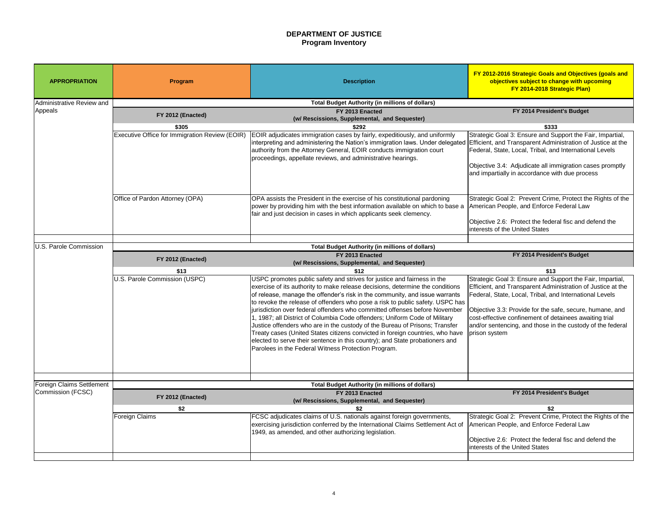# **DEPARTMENT OF JUSTICE Program Inventory**

### **FY 2014 President's Budget**

Strategic Goal 3: Ensure and Support the Fair, Impartial, Efficient, and Transparent Administration of Justice at the Federal, State, Local, Tribal, and International Levels

Objective 3.4: Adjudicate all immigration cases promptly and impartially in accordance with due process

Strategic Goal 2: Prevent Crime, Protect the Rights of the American People, and Enforce Federal Law

Objective 2.6: Protect the federal fisc and defend the interests of the United States

### **FY 2014 President's Budget**

| <b>APPROPRIATION</b>                                  | Program                                                | <b>Description</b>                                                                                                                                                                                                                                                                                                                                                                                                                                                                                                                                                                                                                                                                                                                                                                          | <b>FY 2012-2016 Strategic Goals</b><br>objectives subject to cha<br>FY 2014-2018 Str                                                                                                                                                  |  |
|-------------------------------------------------------|--------------------------------------------------------|---------------------------------------------------------------------------------------------------------------------------------------------------------------------------------------------------------------------------------------------------------------------------------------------------------------------------------------------------------------------------------------------------------------------------------------------------------------------------------------------------------------------------------------------------------------------------------------------------------------------------------------------------------------------------------------------------------------------------------------------------------------------------------------------|---------------------------------------------------------------------------------------------------------------------------------------------------------------------------------------------------------------------------------------|--|
| Administrative Review and                             |                                                        | <b>Total Budget Authority (in millions of dollars)</b>                                                                                                                                                                                                                                                                                                                                                                                                                                                                                                                                                                                                                                                                                                                                      |                                                                                                                                                                                                                                       |  |
| Appeals                                               | FY 2012 (Enacted)                                      | FY 2013 Enacted<br>(w/ Rescissions, Supplemental, and Sequester)                                                                                                                                                                                                                                                                                                                                                                                                                                                                                                                                                                                                                                                                                                                            | FY 2014 Preside                                                                                                                                                                                                                       |  |
|                                                       | \$305                                                  | \$292                                                                                                                                                                                                                                                                                                                                                                                                                                                                                                                                                                                                                                                                                                                                                                                       | \$333                                                                                                                                                                                                                                 |  |
|                                                       | <b>Executive Office for Immigration Review (EOIR)</b>  | EOIR adjudicates immigration cases by fairly, expeditiously, and uniformly<br>interpreting and administering the Nation's immigration laws. Under delegated<br>authority from the Attorney General, EOIR conducts immigration court<br>proceedings, appellate reviews, and administrative hearings.                                                                                                                                                                                                                                                                                                                                                                                                                                                                                         | Strategic Goal 3: Ensure and Su<br>Efficient, and Transparent Admi<br>Federal, State, Local, Tribal, and<br>Objective 3.4: Adjudicate all im<br>and impartially in accordance wi                                                      |  |
|                                                       | <b>Office of Pardon Attorney (OPA)</b>                 | OPA assists the President in the exercise of his constitutional pardoning<br>power by providing him with the best information available on which to base a<br>fair and just decision in cases in which applicants seek clemency.                                                                                                                                                                                                                                                                                                                                                                                                                                                                                                                                                            | Strategic Goal 2: Prevent Crime<br>American People, and Enforce I<br>Objective 2.6: Protect the feder<br>interests of the United States                                                                                               |  |
| U.S. Parole Commission                                | <b>Total Budget Authority (in millions of dollars)</b> |                                                                                                                                                                                                                                                                                                                                                                                                                                                                                                                                                                                                                                                                                                                                                                                             |                                                                                                                                                                                                                                       |  |
|                                                       | FY 2014 Preside<br>FY 2013 Enacted                     |                                                                                                                                                                                                                                                                                                                                                                                                                                                                                                                                                                                                                                                                                                                                                                                             |                                                                                                                                                                                                                                       |  |
|                                                       | FY 2012 (Enacted)                                      | (w/ Rescissions, Supplemental, and Sequester)                                                                                                                                                                                                                                                                                                                                                                                                                                                                                                                                                                                                                                                                                                                                               |                                                                                                                                                                                                                                       |  |
|                                                       | \$13                                                   | \$12                                                                                                                                                                                                                                                                                                                                                                                                                                                                                                                                                                                                                                                                                                                                                                                        | \$13                                                                                                                                                                                                                                  |  |
|                                                       | U.S. Parole Commission (USPC)                          | USPC promotes public safety and strives for justice and fairness in the<br>exercise of its authority to make release decisions, determine the conditions<br>of release, manage the offender's risk in the community, and issue warrants<br>to revoke the release of offenders who pose a risk to public safety. USPC has<br>jurisdiction over federal offenders who committed offenses before November<br>1, 1987; all District of Columbia Code offenders; Uniform Code of Military<br>Justice offenders who are in the custody of the Bureau of Prisons; Transfer<br>Treaty cases (United States citizens convicted in foreign countries, who have<br>elected to serve their sentence in this country); and State probationers and<br>Parolees in the Federal Witness Protection Program. | Strategic Goal 3: Ensure and Su<br>Efficient, and Transparent Admi<br>Federal, State, Local, Tribal, and<br>Objective 3.3: Provide for the sa<br>cost-effective confinement of de<br>and/or sentencing, and those in<br>prison system |  |
|                                                       |                                                        |                                                                                                                                                                                                                                                                                                                                                                                                                                                                                                                                                                                                                                                                                                                                                                                             |                                                                                                                                                                                                                                       |  |
| <b>Foreign Claims Settlement</b><br>Commission (FCSC) |                                                        | <b>Total Budget Authority (in millions of dollars)</b><br>FY 2013 Enacted                                                                                                                                                                                                                                                                                                                                                                                                                                                                                                                                                                                                                                                                                                                   | FY 2014 Preside                                                                                                                                                                                                                       |  |
|                                                       | FY 2012 (Enacted)<br>\$2                               | (w/ Rescissions, Supplemental, and Sequester)<br>\$2                                                                                                                                                                                                                                                                                                                                                                                                                                                                                                                                                                                                                                                                                                                                        | \$2                                                                                                                                                                                                                                   |  |
|                                                       | <b>Foreign Claims</b>                                  | FCSC adjudicates claims of U.S. nationals against foreign governments,<br>exercising jurisdiction conferred by the International Claims Settlement Act of<br>1949, as amended, and other authorizing legislation.                                                                                                                                                                                                                                                                                                                                                                                                                                                                                                                                                                           | Strategic Goal 2: Prevent Crime<br>American People, and Enforce I<br>Objective 2.6: Protect the feder<br>interests of the United States                                                                                               |  |

Strategic Goal 3: Ensure and Support the Fair, Impartial, Efficient, and Transparent Administration of Justice at the Federal, State, Local, Tribal, and International Levels

Objective 3.3: Provide for the safe, secure, humane, and cost-effective confinement of detainees awaiting trial and/or sentencing, and those in the custody of the federal prison system

### **FY 2014 President's Budget**

Strategic Goal 2: Prevent Crime, Protect the Rights of the American People, and Enforce Federal Law

Objective 2.6: Protect the federal fisc and defend the interests of the United States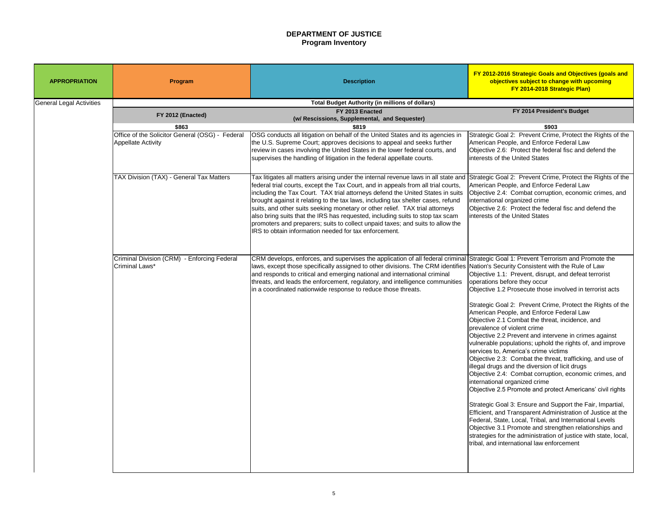# **DEPARTMENT OF JUSTICE Program Inventory**

| <b>APPROPRIATION</b>            | Program                                                       | <b>Description</b>                                                                                                                                                                                                                                                                                                                                                                                                                                                                                                                                                                                                                                        | FY 2012-2016 Strategic Goals and Objectives (goals and<br>objectives subject to change with upcoming<br>FY 2014-2018 Strategic Plan)                                                                                                                                                                                                                                                                                                                                                                                                                                                                                                                                                                                                                                                                                                                                                                                                                                                                                                                                                                                                                                                                        |
|---------------------------------|---------------------------------------------------------------|-----------------------------------------------------------------------------------------------------------------------------------------------------------------------------------------------------------------------------------------------------------------------------------------------------------------------------------------------------------------------------------------------------------------------------------------------------------------------------------------------------------------------------------------------------------------------------------------------------------------------------------------------------------|-------------------------------------------------------------------------------------------------------------------------------------------------------------------------------------------------------------------------------------------------------------------------------------------------------------------------------------------------------------------------------------------------------------------------------------------------------------------------------------------------------------------------------------------------------------------------------------------------------------------------------------------------------------------------------------------------------------------------------------------------------------------------------------------------------------------------------------------------------------------------------------------------------------------------------------------------------------------------------------------------------------------------------------------------------------------------------------------------------------------------------------------------------------------------------------------------------------|
| <b>General Legal Activities</b> |                                                               | <b>Total Budget Authority (in millions of dollars)</b>                                                                                                                                                                                                                                                                                                                                                                                                                                                                                                                                                                                                    |                                                                                                                                                                                                                                                                                                                                                                                                                                                                                                                                                                                                                                                                                                                                                                                                                                                                                                                                                                                                                                                                                                                                                                                                             |
|                                 | FY 2012 (Enacted)                                             | FY 2013 Enacted<br>(w/ Rescissions, Supplemental, and Sequester)                                                                                                                                                                                                                                                                                                                                                                                                                                                                                                                                                                                          | FY 2014 President's Budget                                                                                                                                                                                                                                                                                                                                                                                                                                                                                                                                                                                                                                                                                                                                                                                                                                                                                                                                                                                                                                                                                                                                                                                  |
|                                 | \$863                                                         | \$819                                                                                                                                                                                                                                                                                                                                                                                                                                                                                                                                                                                                                                                     | \$903                                                                                                                                                                                                                                                                                                                                                                                                                                                                                                                                                                                                                                                                                                                                                                                                                                                                                                                                                                                                                                                                                                                                                                                                       |
|                                 | Office of the Solicitor General (OSG) - Federal               | OSG conducts all litigation on behalf of the United States and its agencies in                                                                                                                                                                                                                                                                                                                                                                                                                                                                                                                                                                            | Strategic Goal 2: Prevent Crime, Protect the Rights of the                                                                                                                                                                                                                                                                                                                                                                                                                                                                                                                                                                                                                                                                                                                                                                                                                                                                                                                                                                                                                                                                                                                                                  |
|                                 | <b>Appellate Activity</b>                                     | the U.S. Supreme Court; approves decisions to appeal and seeks further<br>review in cases involving the United States in the lower federal courts, and<br>supervises the handling of litigation in the federal appellate courts.                                                                                                                                                                                                                                                                                                                                                                                                                          | American People, and Enforce Federal Law<br>Objective 2.6: Protect the federal fisc and defend the<br>Interests of the United States                                                                                                                                                                                                                                                                                                                                                                                                                                                                                                                                                                                                                                                                                                                                                                                                                                                                                                                                                                                                                                                                        |
|                                 | TAX Division (TAX) - General Tax Matters                      | Tax litigates all matters arising under the internal revenue laws in all state and<br>federal trial courts, except the Tax Court, and in appeals from all trial courts,<br>including the Tax Court. TAX trial attorneys defend the United States in suits<br>brought against it relating to the tax laws, including tax shelter cases, refund<br>suits, and other suits seeking monetary or other relief. TAX trial attorneys<br>also bring suits that the IRS has requested, including suits to stop tax scam<br>promoters and preparers; suits to collect unpaid taxes; and suits to allow the<br>IRS to obtain information needed for tax enforcement. | Strategic Goal 2: Prevent Crime, Protect the Rights of the<br>American People, and Enforce Federal Law<br>Objective 2.4: Combat corruption, economic crimes, and<br>international organized crime<br>Objective 2.6: Protect the federal fisc and defend the<br>interests of the United States                                                                                                                                                                                                                                                                                                                                                                                                                                                                                                                                                                                                                                                                                                                                                                                                                                                                                                               |
|                                 | Criminal Division (CRM) - Enforcing Federal<br>Criminal Laws* | CRM develops, enforces, and supervises the application of all federal criminal<br>laws, except those specifically assigned to other divisions. The CRM identifies Nation's Security Consistent with the Rule of Law<br>and responds to critical and emerging national and international criminal<br>threats, and leads the enforcement, regulatory, and intelligence communities<br>in a coordinated nationwide response to reduce those threats.                                                                                                                                                                                                         | Strategic Goal 1: Prevent Terrorism and Promote the<br>Objective 1.1: Prevent, disrupt, and defeat terrorist<br>operations before they occur<br>Objective 1.2 Prosecute those involved in terrorist acts<br>Strategic Goal 2: Prevent Crime, Protect the Rights of the<br>American People, and Enforce Federal Law<br>Objective 2.1 Combat the threat, incidence, and<br>prevalence of violent crime<br>Objective 2.2 Prevent and intervene in crimes against<br>vulnerable populations; uphold the rights of, and improve<br>services to, America's crime victims<br>Objective 2.3: Combat the threat, trafficking, and use of<br>lillegal drugs and the diversion of licit drugs<br>Objective 2.4: Combat corruption, economic crimes, and<br>international organized crime<br>Objective 2.5 Promote and protect Americans' civil rights<br>Strategic Goal 3: Ensure and Support the Fair, Impartial,<br>Efficient, and Transparent Administration of Justice at the<br>Federal, State, Local, Tribal, and International Levels<br>Objective 3.1 Promote and strengthen relationships and<br>strategies for the administration of justice with state, local,<br>tribal, and international law enforcement |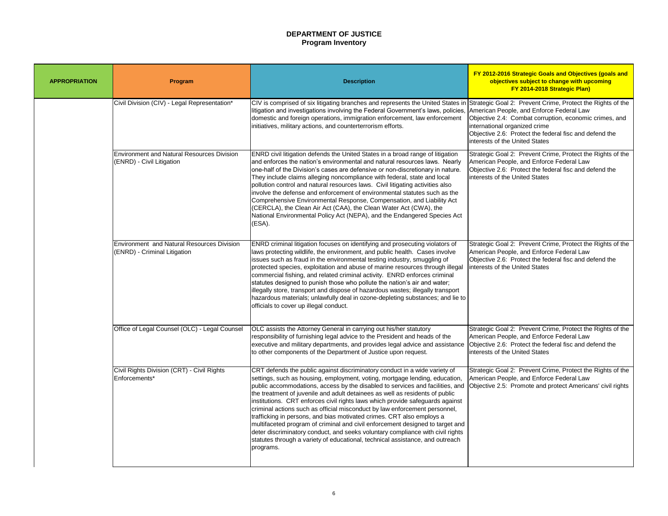# **DEPARTMENT OF JUSTICE Program Inventory**

Strategic Goal 2: Prevent Crime, Protect the Rights of the American People, and Enforce Federal Law Objective 2.4: Combat corruption, economic crimes, and international organized crime Objective 2.6: Protect the federal fisc and defend the interests of the United States

Strategic Goal 2: Prevent Crime, Protect the Rights of the American People, and Enforce Federal Law Objective 2.6: Protect the federal fisc and defend the Interests of the United States

Strategic Goal 2: Prevent Crime, Protect the Rights of the American People, and Enforce Federal Law Objective 2.6: Protect the federal fisc and defend the Interests of the United States

| <b>APPROPRIATION</b> | <b>Program</b>                                                                    | <b>Description</b>                                                                                                                                                                                                                                                                                                                                                                                                                                                                                                                                                                                                                                                                                                                                                                                                                  |
|----------------------|-----------------------------------------------------------------------------------|-------------------------------------------------------------------------------------------------------------------------------------------------------------------------------------------------------------------------------------------------------------------------------------------------------------------------------------------------------------------------------------------------------------------------------------------------------------------------------------------------------------------------------------------------------------------------------------------------------------------------------------------------------------------------------------------------------------------------------------------------------------------------------------------------------------------------------------|
|                      | Civil Division (CIV) - Legal Representation*                                      | CIV is comprised of six litigating branches and represents the United States in<br>litigation and investigations involving the Federal Government's laws, policies,<br>domestic and foreign operations, immigration enforcement, law enforcement<br>initiatives, military actions, and counterterrorism efforts.                                                                                                                                                                                                                                                                                                                                                                                                                                                                                                                    |
|                      | <b>Environment and Natural Resources Division</b><br>(ENRD) - Civil Litigation    | <b>ENRD</b> civil litigation defends the United States in a broad range of litigation<br>and enforces the nation's environmental and natural resources laws. Nearly<br>one-half of the Division's cases are defensive or non-discretionary in nature.<br>They include claims alleging noncompliance with federal, state and local<br>pollution control and natural resources laws. Civil litigating activities also<br>Involve the defense and enforcement of environmental statutes such as the<br>Comprehensive Environmental Response, Compensation, and Liability Act<br>(CERCLA), the Clean Air Act (CAA), the Clean Water Act (CWA), the<br>National Environmental Policy Act (NEPA), and the Endangered Species Act<br>(ESA).                                                                                                |
|                      | <b>Environment and Natural Resources Division</b><br>(ENRD) - Criminal Litigation | ENRD criminal litigation focuses on identifying and prosecuting violators of<br>laws protecting wildlife, the environment, and public health. Cases involve<br>issues such as fraud in the environmental testing industry, smuggling of<br>protected species, exploitation and abuse of marine resources through illegal<br>commercial fishing, and related criminal activity. ENRD enforces criminal<br>statutes designed to punish those who pollute the nation's air and water;<br>illegally store, transport and dispose of hazardous wastes; illegally transport<br>hazardous materials; unlawfully deal in ozone-depleting substances; and lie to<br>officials to cover up illegal conduct.                                                                                                                                   |
|                      | Office of Legal Counsel (OLC) - Legal Counsel                                     | OLC assists the Attorney General in carrying out his/her statutory<br>responsibility of furnishing legal advice to the President and heads of the<br>executive and military departments, and provides legal advice and assistance<br>to other components of the Department of Justice upon request.                                                                                                                                                                                                                                                                                                                                                                                                                                                                                                                                 |
|                      | Civil Rights Division (CRT) - Civil Rights<br>Enforcements*                       | CRT defends the public against discriminatory conduct in a wide variety of<br>settings, such as housing, employment, voting, mortgage lending, education,<br>public accommodations, access by the disabled to services and facilities, and<br>the treatment of juvenile and adult detainees as well as residents of public<br>institutions. CRT enforces civil rights laws which provide safeguards against<br>criminal actions such as official misconduct by law enforcement personnel,<br>trafficking in persons, and bias motivated crimes. CRT also employs a<br>multifaceted program of criminal and civil enforcement designed to target and<br>deter discriminatory conduct, and seeks voluntary compliance with civil rights<br>statutes through a variety of educational, technical assistance, and outreach<br>programs. |

Strategic Goal 2: Prevent Crime, Protect the Rights of the American People, and Enforce Federal Law Objective 2.6: Protect the federal fisc and defend the interests of the United States

Strategic Goal 2: Prevent Crime, Protect the Rights of the American People, and Enforce Federal Law Objective 2.5: Promote and protect Americans' civil rights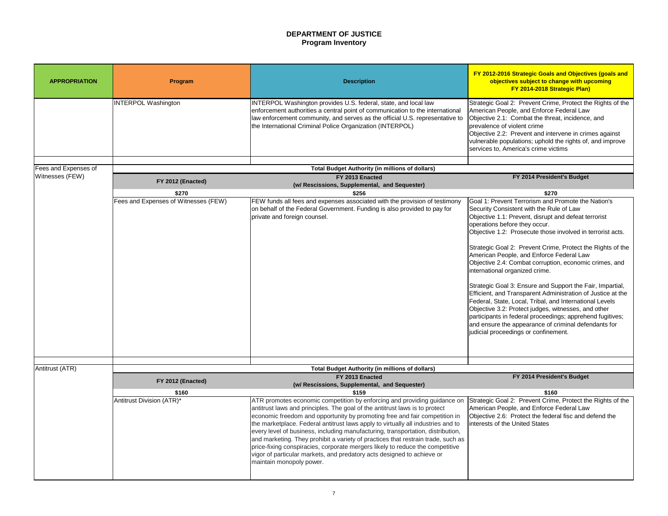# **DEPARTMENT OF JUSTICE Program Inventory**

- Strategic Goal 2: Prevent Crime, Protect the Rights of the American People, and Enforce Federal Law Objective 2.1: Combat the threat, incidence, and prevalence of violent crime Objective 2.2: Prevent and intervene in crimes against
- vulnerable populations; uphold the rights of, and improve services to, America's crime victims

### **FY 2014 President's Budget**

| <b>APPROPRIATION</b> | Program                              | <b>Description</b>                                                                                                                                                                                                                                                                                                                                                                                                                                                                                                                                                                                                                                                                      | <b>FY 2012-2016 Strategic Goals</b><br>objectives subject to cha<br>FY 2014-2018 Str                                                                                                                                                                                                                                                                                                                                                                                                                                                                                                   |
|----------------------|--------------------------------------|-----------------------------------------------------------------------------------------------------------------------------------------------------------------------------------------------------------------------------------------------------------------------------------------------------------------------------------------------------------------------------------------------------------------------------------------------------------------------------------------------------------------------------------------------------------------------------------------------------------------------------------------------------------------------------------------|----------------------------------------------------------------------------------------------------------------------------------------------------------------------------------------------------------------------------------------------------------------------------------------------------------------------------------------------------------------------------------------------------------------------------------------------------------------------------------------------------------------------------------------------------------------------------------------|
|                      | <b>INTERPOL Washington</b>           | INTERPOL Washington provides U.S. federal, state, and local law<br>enforcement authorities a central point of communication to the international<br>llaw enforcement community, and serves as the official U.S. representative to<br>the International Criminal Police Organization (INTERPOL)                                                                                                                                                                                                                                                                                                                                                                                          | Strategic Goal 2: Prevent Crime<br>American People, and Enforce I<br>Objective 2.1: Combat the threa<br>prevalence of violent crime<br>Objective 2.2: Prevent and inter<br>vulnerable populations; uphold t<br>services to, America's crime vic                                                                                                                                                                                                                                                                                                                                        |
| Fees and Expenses of |                                      | <b>Total Budget Authority (in millions of dollars)</b>                                                                                                                                                                                                                                                                                                                                                                                                                                                                                                                                                                                                                                  |                                                                                                                                                                                                                                                                                                                                                                                                                                                                                                                                                                                        |
| Witnesses (FEW)      |                                      | FY 2013 Enacted                                                                                                                                                                                                                                                                                                                                                                                                                                                                                                                                                                                                                                                                         | FY 2014 Preside                                                                                                                                                                                                                                                                                                                                                                                                                                                                                                                                                                        |
|                      | FY 2012 (Enacted)                    | (w/ Rescissions, Supplemental, and Sequester)                                                                                                                                                                                                                                                                                                                                                                                                                                                                                                                                                                                                                                           |                                                                                                                                                                                                                                                                                                                                                                                                                                                                                                                                                                                        |
|                      | \$270                                | \$256                                                                                                                                                                                                                                                                                                                                                                                                                                                                                                                                                                                                                                                                                   | \$270                                                                                                                                                                                                                                                                                                                                                                                                                                                                                                                                                                                  |
|                      | Fees and Expenses of Witnesses (FEW) | <b>FEW</b> funds all fees and expenses associated with the provision of testimony<br>on behalf of the Federal Government. Funding is also provided to pay for<br>private and foreign counsel.                                                                                                                                                                                                                                                                                                                                                                                                                                                                                           | Goal 1: Prevent Terrorism and F<br>Security Consistent with the Rul<br>Objective 1.1: Prevent, disrupt a<br>operations before they occur.<br>Objective 1.2: Prosecute those<br>Strategic Goal 2: Prevent Crime<br>American People, and Enforce I<br>Objective 2.4: Combat corruptio<br>international organized crime.<br>Strategic Goal 3: Ensure and Su<br><b>Efficient, and Transparent Admi</b><br>Federal, State, Local, Tribal, an<br>Objective 3.2: Protect judges, w<br>participants in federal proceedir<br>and ensure the appearance of c<br>judicial proceedings or confinem |
|                      |                                      |                                                                                                                                                                                                                                                                                                                                                                                                                                                                                                                                                                                                                                                                                         |                                                                                                                                                                                                                                                                                                                                                                                                                                                                                                                                                                                        |
| Antitrust (ATR)      |                                      | <b>Total Budget Authority (in millions of dollars)</b>                                                                                                                                                                                                                                                                                                                                                                                                                                                                                                                                                                                                                                  | FY 2014 Preside                                                                                                                                                                                                                                                                                                                                                                                                                                                                                                                                                                        |
|                      | FY 2012 (Enacted)                    | FY 2013 Enacted<br>(w/ Rescissions, Supplemental, and Sequester)                                                                                                                                                                                                                                                                                                                                                                                                                                                                                                                                                                                                                        |                                                                                                                                                                                                                                                                                                                                                                                                                                                                                                                                                                                        |
|                      | \$160                                | \$159                                                                                                                                                                                                                                                                                                                                                                                                                                                                                                                                                                                                                                                                                   | \$160                                                                                                                                                                                                                                                                                                                                                                                                                                                                                                                                                                                  |
|                      | Antitrust Division (ATR)*            | ATR promotes economic competition by enforcing and providing guidance on<br>antitrust laws and principles. The goal of the antitrust laws is to protect<br>economic freedom and opportunity by promoting free and fair competition in<br>the marketplace. Federal antitrust laws apply to virtually all industries and to<br>every level of business, including manufacturing, transportation, distribution,<br>and marketing. They prohibit a variety of practices that restrain trade, such as<br>price-fixing conspiracies, corporate mergers likely to reduce the competitive<br>vigor of particular markets, and predatory acts designed to achieve or<br>maintain monopoly power. | Strategic Goal 2: Prevent Crime<br>American People, and Enforce I<br>Objective 2.6: Protect the feder<br>interests of the United States                                                                                                                                                                                                                                                                                                                                                                                                                                                |

- Goal 1: Prevent Terrorism and Promote the Nation's Security Consistent with the Rule of Law Objective 1.1: Prevent, disrupt and defeat terrorist operations before they occur.
- Objective 1.2: Prosecute those involved in terrorist acts.
- Strategic Goal 2: Prevent Crime, Protect the Rights of the American People, and Enforce Federal Law Objective 2.4: Combat corruption, economic crimes, and international organized crime.
- Strategic Goal 3: Ensure and Support the Fair, Impartial, Efficient, and Transparent Administration of Justice at the Federal, State, Local, Tribal, and International Levels Objective 3.2: Protect judges, witnesses, and other participants in federal proceedings; apprehend fugitives; and ensure the appearance of criminal defendants for judicial proceedings or confinement.

### **FY 2014 President's Budget**

Strategic Goal 2: Prevent Crime, Protect the Rights of the American People, and Enforce Federal Law Objective 2.6: Protect the federal fisc and defend the interests of the United States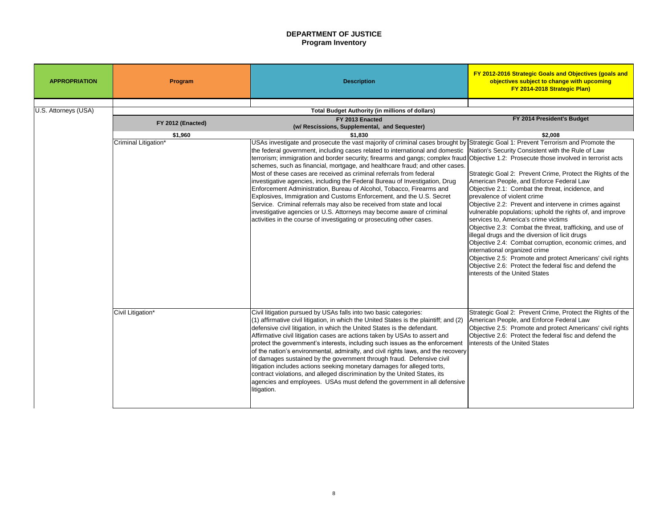# **DEPARTMENT OF JUSTICE Program Inventory**

| <b>APPROPRIATION</b> | Program              | <b>Description</b>                                                                                                                                                                                                                                                                                                                                                                                                                                                                                                                                                                                                                                                                                                                                                                                                                                                                                                                                                     | FY 2012-2016 Strategic Goals a<br>objectives subject to cha<br><b>FY 2014-2018 Stra</b>                                                                                                                                                                                                                                                                                                                                                                                                                    |
|----------------------|----------------------|------------------------------------------------------------------------------------------------------------------------------------------------------------------------------------------------------------------------------------------------------------------------------------------------------------------------------------------------------------------------------------------------------------------------------------------------------------------------------------------------------------------------------------------------------------------------------------------------------------------------------------------------------------------------------------------------------------------------------------------------------------------------------------------------------------------------------------------------------------------------------------------------------------------------------------------------------------------------|------------------------------------------------------------------------------------------------------------------------------------------------------------------------------------------------------------------------------------------------------------------------------------------------------------------------------------------------------------------------------------------------------------------------------------------------------------------------------------------------------------|
| U.S. Attorneys (USA) |                      | <b>Total Budget Authority (in millions of dollars)</b>                                                                                                                                                                                                                                                                                                                                                                                                                                                                                                                                                                                                                                                                                                                                                                                                                                                                                                                 |                                                                                                                                                                                                                                                                                                                                                                                                                                                                                                            |
|                      | FY 2012 (Enacted)    | FY 2013 Enacted<br>(w/ Rescissions, Supplemental, and Sequester)                                                                                                                                                                                                                                                                                                                                                                                                                                                                                                                                                                                                                                                                                                                                                                                                                                                                                                       | FY 2014 Presider                                                                                                                                                                                                                                                                                                                                                                                                                                                                                           |
|                      | \$1,960              | \$1,830                                                                                                                                                                                                                                                                                                                                                                                                                                                                                                                                                                                                                                                                                                                                                                                                                                                                                                                                                                | \$2,008                                                                                                                                                                                                                                                                                                                                                                                                                                                                                                    |
|                      | Criminal Litigation* | USAs investigate and prosecute the vast majority of criminal cases brought by Strategic Goal 1: Prevent Terrori<br>the federal government, including cases related to international and domestic  Nation's Security Consistent with<br>terrorism; immigration and border security; firearms and gangs; complex fraud Objective 1.2: Prosecute those i<br>schemes, such as financial, mortgage, and healthcare fraud; and other cases.<br>Most of these cases are received as criminal referrals from federal<br>investigative agencies, including the Federal Bureau of Investigation, Drug<br>Enforcement Administration, Bureau of Alcohol, Tobacco, Firearms and<br>Explosives, Immigration and Customs Enforcement, and the U.S. Secret<br>Service. Criminal referrals may also be received from state and local<br>investigative agencies or U.S. Attorneys may become aware of criminal<br>activities in the course of investigating or prosecuting other cases. | Strategic Goal 2: Prevent Crime<br>American People, and Enforce F<br>Objective 2.1: Combat the threa<br>prevalence of violent crime<br>Objective 2.2: Prevent and inter<br>vulnerable populations; uphold th<br>services to, America's crime victi<br>Objective 2.3: Combat the threa<br>lillegal drugs and the diversion of<br>Objective 2.4: Combat corruptio<br>international organized crime<br>Objective 2.5: Promote and prot<br>Objective 2.6: Protect the federa<br>Interests of the United States |
|                      | Civil Litigation*    | Civil litigation pursued by USAs falls into two basic categories:<br>(1) affirmative civil litigation, in which the United States is the plaintiff; and (2)<br>defensive civil litigation, in which the United States is the defendant.<br>Affirmative civil litigation cases are actions taken by USAs to assert and<br>protect the government's interests, including such issues as the enforcement<br>of the nation's environmental, admiralty, and civil rights laws, and the recovery<br>of damages sustained by the government through fraud. Defensive civil<br>litigation includes actions seeking monetary damages for alleged torts,<br>contract violations, and alleged discrimination by the United States, its<br>agencies and employees. USAs must defend the government in all defensive<br>litigation.                                                                                                                                                 | Strategic Goal 2: Prevent Crime<br>American People, and Enforce F<br>Objective 2.5: Promote and prot<br>Objective 2.6: Protect the federa<br>linterests of the United States                                                                                                                                                                                                                                                                                                                               |

| FY 2014 President's Budget                                                                                           |
|----------------------------------------------------------------------------------------------------------------------|
|                                                                                                                      |
| \$2,008                                                                                                              |
| Strategic Goal 1: Prevent Terrorism and Promote the                                                                  |
| Nation's Security Consistent with the Rule of Law                                                                    |
| Objective 1.2: Prosecute those involved in terrorist acts                                                            |
| Strategic Goal 2: Prevent Crime, Protect the Rights of the                                                           |
| American People, and Enforce Federal Law                                                                             |
| Objective 2.1: Combat the threat, incidence, and                                                                     |
| prevalence of violent crime                                                                                          |
| Objective 2.2: Prevent and intervene in crimes against<br>vulnerable populations; uphold the rights of, and improve  |
| services to, America's crime victims                                                                                 |
| Objective 2.3: Combat the threat, trafficking, and use of<br>illegal drugs and the diversion of licit drugs          |
| Objective 2.4: Combat corruption, economic crimes, and<br>international organized crime                              |
| Objective 2.5: Promote and protect Americans' civil rights<br>Objective 2.6: Protect the federal fisc and defend the |
| interests of the United States                                                                                       |
|                                                                                                                      |
|                                                                                                                      |
|                                                                                                                      |
| Strategic Goal 2: Prevent Crime, Protect the Rights of the<br>American People, and Enforce Federal Law               |
| Objective 2.5: Promote and protect Americans' civil rights                                                           |
| Objective 2.6: Protect the federal fisc and defend the                                                               |
| interests of the United States                                                                                       |
|                                                                                                                      |
|                                                                                                                      |
|                                                                                                                      |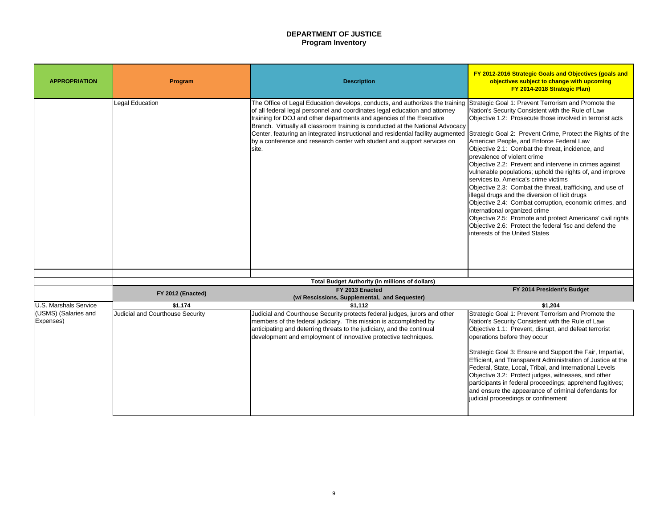# **DEPARTMENT OF JUSTICE Program Inventory**

Strategic Goal 1: Prevent Terrorism and Promote the Nation's Security Consistent with the Rule of Law Objective 1.2: Prosecute those involved in terrorist acts

- Strategic Goal 2: Prevent Crime, Protect the Rights of the American People, and Enforce Federal Law
- Objective 2.1: Combat the threat, incidence, and prevalence of violent crime
- Objective 2.2: Prevent and intervene in crimes against vulnerable populations; uphold the rights of, and improve services to, America's crime victims
- Objective 2.3: Combat the threat, trafficking, and use of illegal drugs and the diversion of licit drugs
- Objective 2.4: Combat corruption, economic crimes, and international organized crime
- Objective 2.5: Promote and protect Americans' civil rights Objective 2.6: Protect the federal fisc and defend the interests of the United States

| <b>Program</b>                          | <b>Description</b>                                                                                                                                                                                                                                                                                                                                                                                                                                                                              | FY 2012-2016 Strategic Goals a<br>objectives subject to cha<br><b>FY 2014-2018 Stra</b>                                                                                                                                                                                                                                                                                                                                                                                                                                                                                                                                  |
|-----------------------------------------|-------------------------------------------------------------------------------------------------------------------------------------------------------------------------------------------------------------------------------------------------------------------------------------------------------------------------------------------------------------------------------------------------------------------------------------------------------------------------------------------------|--------------------------------------------------------------------------------------------------------------------------------------------------------------------------------------------------------------------------------------------------------------------------------------------------------------------------------------------------------------------------------------------------------------------------------------------------------------------------------------------------------------------------------------------------------------------------------------------------------------------------|
| <b>Legal Education</b>                  | The Office of Legal Education develops, conducts, and authorizes the training<br>of all federal legal personnel and coordinates legal education and attorney<br>training for DOJ and other departments and agencies of the Executive<br>Branch. Virtually all classroom training is conducted at the National Advocacy<br>Center, featuring an integrated instructional and residential facility augmented<br>by a conference and research center with student and support services on<br>site. | Strategic Goal 1: Prevent Terrori<br>Nation's Security Consistent with<br>Objective 1.2: Prosecute those i<br>Strategic Goal 2: Prevent Crime<br>American People, and Enforce F<br>Objective 2.1: Combat the threa<br>prevalence of violent crime<br>Objective 2.2: Prevent and inter<br>vulnerable populations; uphold th<br>services to, America's crime victi<br>Objective 2.3: Combat the threat<br>illegal drugs and the diversion of<br>Objective 2.4: Combat corruptio<br>international organized crime<br>Objective 2.5: Promote and prot<br>Objective 2.6: Protect the federa<br>Interests of the United States |
|                                         |                                                                                                                                                                                                                                                                                                                                                                                                                                                                                                 |                                                                                                                                                                                                                                                                                                                                                                                                                                                                                                                                                                                                                          |
|                                         |                                                                                                                                                                                                                                                                                                                                                                                                                                                                                                 |                                                                                                                                                                                                                                                                                                                                                                                                                                                                                                                                                                                                                          |
| FY 2012 (Enacted)                       | (w/ Rescissions, Supplemental, and Sequester)                                                                                                                                                                                                                                                                                                                                                                                                                                                   | FY 2014 Presider                                                                                                                                                                                                                                                                                                                                                                                                                                                                                                                                                                                                         |
| \$1,174                                 | \$1,112                                                                                                                                                                                                                                                                                                                                                                                                                                                                                         | \$1,204                                                                                                                                                                                                                                                                                                                                                                                                                                                                                                                                                                                                                  |
| <b>Judicial and Courthouse Security</b> | Judicial and Courthouse Security protects federal judges, jurors and other<br>members of the federal judiciary. This mission is accomplished by<br>anticipating and deterring threats to the judiciary, and the continual<br>development and employment of innovative protective techniques.                                                                                                                                                                                                    | Strategic Goal 1: Prevent Terrori<br>Nation's Security Consistent with<br>Objective 1.1: Prevent, disrupt, a<br>operations before they occur<br>Strategic Goal 3: Ensure and Sup<br><b>Efficient, and Transparent Admin</b><br>Federal, State, Local, Tribal, and<br>Objective 3.2: Protect judges, wi<br>participants in federal proceeding<br>and ensure the appearance of cr<br>judicial proceedings or confinem                                                                                                                                                                                                      |
|                                         |                                                                                                                                                                                                                                                                                                                                                                                                                                                                                                 | <b>Total Budget Authority (in millions of dollars)</b><br>FY 2013 Enacted                                                                                                                                                                                                                                                                                                                                                                                                                                                                                                                                                |

# **FY 2014 President's Budget**

Strategic Goal 1: Prevent Terrorism and Promote the Nation's Security Consistent with the Rule of Law Objective 1.1: Prevent, disrupt, and defeat terrorist operations before they occur

Strategic Goal 3: Ensure and Support the Fair, Impartial, Efficient, and Transparent Administration of Justice at the Federal, State, Local, Tribal, and International Levels Objective 3.2: Protect judges, witnesses, and other participants in federal proceedings; apprehend fugitives; and ensure the appearance of criminal defendants for judicial proceedings or confinement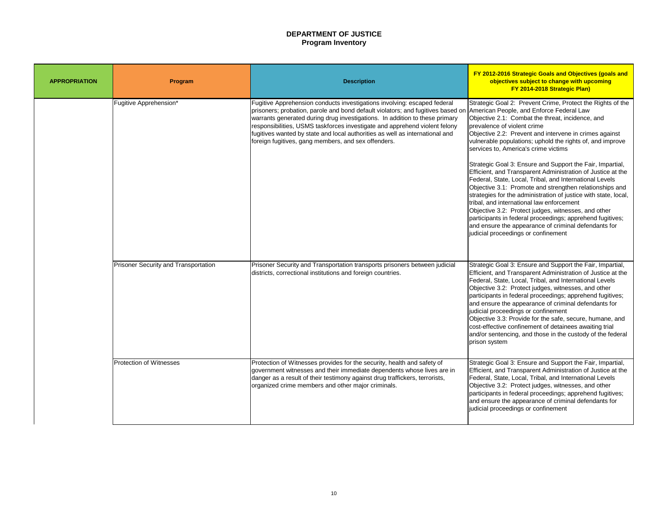# **DEPARTMENT OF JUSTICE Program Inventory**

Strategic Goal 2: Prevent Crime, Protect the Rights of the American People, and Enforce Federal Law Objective 2.1: Combat the threat, incidence, and prevalence of violent crime

Objective 2.2: Prevent and intervene in crimes against vulnerable populations; uphold the rights of, and improve services to, America's crime victims

Strategic Goal 3: Ensure and Support the Fair, Impartial, Efficient, and Transparent Administration of Justice at the Federal, State, Local, Tribal, and International Levels Objective 3.1: Promote and strengthen relationships and strategies for the administration of justice with state, local, tribal, and international law enforcement

| <b>APPROPRIATION</b> | Program                                     | <b>Description</b>                                                                                                                                                                                                                                                                                                                                                                                                                                                |
|----------------------|---------------------------------------------|-------------------------------------------------------------------------------------------------------------------------------------------------------------------------------------------------------------------------------------------------------------------------------------------------------------------------------------------------------------------------------------------------------------------------------------------------------------------|
|                      | Fugitive Apprehension*                      | Fugitive Apprehension conducts investigations involving: escaped federal<br>prisoners; probation, parole and bond default violators; and fugitives based on  <br>warrants generated during drug investigations. In addition to these primary<br>responsibilities, USMS taskforces investigate and apprehend violent felony<br>fugitives wanted by state and local authorities as well as international and<br>foreign fugitives, gang members, and sex offenders. |
|                      | <b>Prisoner Security and Transportation</b> | Prisoner Security and Transportation transports prisoners between judicial<br>districts, correctional institutions and foreign countries.                                                                                                                                                                                                                                                                                                                         |
|                      | <b>Protection of Witnesses</b>              | Protection of Witnesses provides for the security, health and safety of<br>government witnesses and their immediate dependents whose lives are in<br>danger as a result of their testimony against drug traffickers, terrorists,<br>organized crime members and other major criminals.                                                                                                                                                                            |

Objective 3.2: Protect judges, witnesses, and other participants in federal proceedings; apprehend fugitives; and ensure the appearance of criminal defendants for judicial proceedings or confinement

Strategic Goal 3: Ensure and Support the Fair, Impartial, Efficient, and Transparent Administration of Justice at the Federal, State, Local, Tribal, and International Levels Objective 3.2: Protect judges, witnesses, and other participants in federal proceedings; apprehend fugitives; and ensure the appearance of criminal defendants for judicial proceedings or confinement

Objective 3.3: Provide for the safe, secure, humane, and cost-effective confinement of detainees awaiting trial and/or sentencing, and those in the custody of the federal prison system

Strategic Goal 3: Ensure and Support the Fair, Impartial, Efficient, and Transparent Administration of Justice at the Federal, State, Local, Tribal, and International Levels Objective 3.2: Protect judges, witnesses, and other participants in federal proceedings; apprehend fugitives; and ensure the appearance of criminal defendants for judicial proceedings or confinement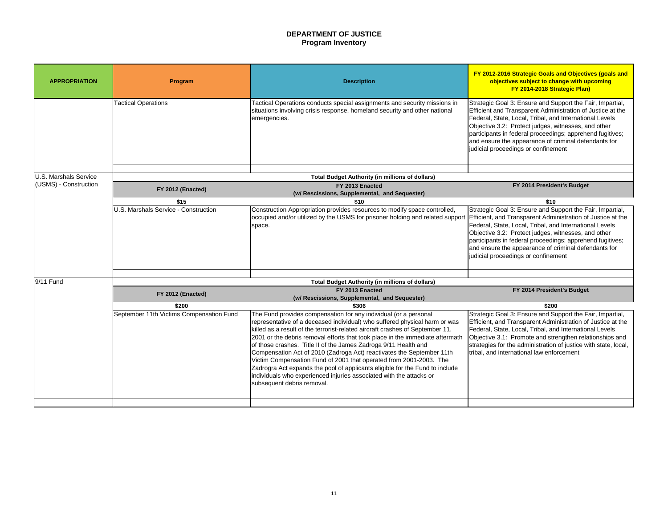# **DEPARTMENT OF JUSTICE Program Inventory**

Strategic Goal 3: Ensure and Support the Fair, Impartial, Efficient and Transparent Administration of Justice at the Federal, State, Local, Tribal, and International Levels Objective 3.2: Protect judges, witnesses, and other participants in federal proceedings; apprehend fugitives; and ensure the appearance of criminal defendants for judicial proceedings or confinement

### **FY 2014 President's Budget**

Strategic Goal 3: Ensure and Support the Fair, Impartial, Efficient, and Transparent Administration of Justice at the Federal, State, Local, Tribal, and International Levels Objective 3.2: Protect judges, witnesses, and other participants in federal proceedings; apprehend fugitives; and ensure the appearance of criminal defendants for judicial proceedings or confinement

| <b>APPROPRIATION</b>  | Program                                     | <b>Description</b>                                                                                                                                                                                                                                                                                                                                                                                                                                                                                                                                                                                                                                                                                                      | <b>FY 2012-2016 Strategic Goals</b><br>objectives subject to cha<br>FY 2014-2018 Str                                                                                                                                                                           |
|-----------------------|---------------------------------------------|-------------------------------------------------------------------------------------------------------------------------------------------------------------------------------------------------------------------------------------------------------------------------------------------------------------------------------------------------------------------------------------------------------------------------------------------------------------------------------------------------------------------------------------------------------------------------------------------------------------------------------------------------------------------------------------------------------------------------|----------------------------------------------------------------------------------------------------------------------------------------------------------------------------------------------------------------------------------------------------------------|
|                       | <b>Tactical Operations</b>                  | Tactical Operations conducts special assignments and security missions in<br>situations involving crisis response, homeland security and other national<br>emergencies.                                                                                                                                                                                                                                                                                                                                                                                                                                                                                                                                                 | Strategic Goal 3: Ensure and Su<br><b>Efficient and Transparent Admir</b><br>Federal, State, Local, Tribal, and<br>Objective 3.2: Protect judges, v<br>participants in federal proceedin<br>and ensure the appearance of c<br>judicial proceedings or confinem |
| U.S. Marshals Service |                                             |                                                                                                                                                                                                                                                                                                                                                                                                                                                                                                                                                                                                                                                                                                                         |                                                                                                                                                                                                                                                                |
| (USMS) - Construction |                                             | <b>Total Budget Authority (in millions of dollars)</b><br>FY 2013 Enacted                                                                                                                                                                                                                                                                                                                                                                                                                                                                                                                                                                                                                                               | FY 2014 Preside                                                                                                                                                                                                                                                |
|                       | FY 2012 (Enacted)                           | (w/ Rescissions, Supplemental, and Sequester)                                                                                                                                                                                                                                                                                                                                                                                                                                                                                                                                                                                                                                                                           |                                                                                                                                                                                                                                                                |
|                       | \$15                                        | \$10                                                                                                                                                                                                                                                                                                                                                                                                                                                                                                                                                                                                                                                                                                                    | \$10                                                                                                                                                                                                                                                           |
|                       | <b>U.S. Marshals Service - Construction</b> | Construction Appropriation provides resources to modify space controlled,<br>occupied and/or utilized by the USMS for prisoner holding and related support<br>space.                                                                                                                                                                                                                                                                                                                                                                                                                                                                                                                                                    | Strategic Goal 3: Ensure and Su<br><b>Efficient, and Transparent Admi</b><br>Federal, State, Local, Tribal, and<br>Objective 3.2: Protect judges, v<br>participants in federal proceedin<br>and ensure the appearance of c<br>judicial proceedings or confinem |
| 9/11 Fund             |                                             | <b>Total Budget Authority (in millions of dollars)</b>                                                                                                                                                                                                                                                                                                                                                                                                                                                                                                                                                                                                                                                                  |                                                                                                                                                                                                                                                                |
|                       | FY 2012 (Enacted)                           | FY 2013 Enacted<br>(w/ Rescissions, Supplemental, and Sequester)                                                                                                                                                                                                                                                                                                                                                                                                                                                                                                                                                                                                                                                        | FY 2014 Preside                                                                                                                                                                                                                                                |
|                       | \$200                                       | \$306                                                                                                                                                                                                                                                                                                                                                                                                                                                                                                                                                                                                                                                                                                                   | \$200                                                                                                                                                                                                                                                          |
|                       | September 11th Victims Compensation Fund    | The Fund provides compensation for any individual (or a personal<br>representative of a deceased individual) who suffered physical harm or was<br>killed as a result of the terrorist-related aircraft crashes of September 11,<br>2001 or the debris removal efforts that took place in the immediate aftermath<br>of those crashes. Title II of the James Zadroga 9/11 Health and<br>Compensation Act of 2010 (Zadroga Act) reactivates the September 11th<br>Victim Compensation Fund of 2001 that operated from 2001-2003. The<br>Zadrogra Act expands the pool of applicants eligible for the Fund to include<br>individuals who experienced injuries associated with the attacks or<br>subsequent debris removal. | Strategic Goal 3: Ensure and Su<br><b>Efficient, and Transparent Admi</b><br>Federal, State, Local, Tribal, an<br>Objective 3.1: Promote and stre<br>strategies for the administration<br>tribal, and international law enfo                                   |

### **FY 2014 President's Budget**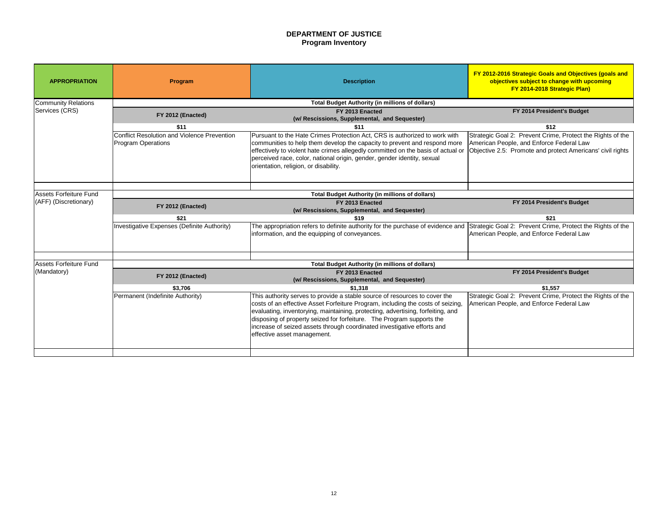# **DEPARTMENT OF JUSTICE Program Inventory**

# **FY 2014 President's Budget**

Strategic Goal 2: Prevent Crime, Protect the Rights of the American People, and Enforce Federal Law Objective 2.5: Promote and protect Americans' civil rights

# **FY 2014 President's Budget**

| <b>APPROPRIATION</b>                            | Program                                                                         | <b>Description</b>                                                                                                                                                                                                                                                                                                                                                                                                                  | FY 2012-2016 Strategic Goals a<br>objectives subject to cha<br>FY 2014-2018 Stra                     |
|-------------------------------------------------|---------------------------------------------------------------------------------|-------------------------------------------------------------------------------------------------------------------------------------------------------------------------------------------------------------------------------------------------------------------------------------------------------------------------------------------------------------------------------------------------------------------------------------|------------------------------------------------------------------------------------------------------|
| <b>Community Relations</b>                      |                                                                                 | <b>Total Budget Authority (in millions of dollars)</b>                                                                                                                                                                                                                                                                                                                                                                              |                                                                                                      |
| Services (CRS)                                  | FY 2012 (Enacted)                                                               | FY 2013 Enacted<br>(w/ Rescissions, Supplemental, and Sequester)                                                                                                                                                                                                                                                                                                                                                                    | FY 2014 Presider                                                                                     |
|                                                 | \$11                                                                            | \$11                                                                                                                                                                                                                                                                                                                                                                                                                                | \$12                                                                                                 |
|                                                 | <b>Conflict Resolution and Violence Prevention</b><br><b>Program Operations</b> | Pursuant to the Hate Crimes Protection Act, CRS is authorized to work with<br>communities to help them develop the capacity to prevent and respond more<br>effectively to violent hate crimes allegedly committed on the basis of actual or<br>perceived race, color, national origin, gender, gender identity, sexual<br>orientation, religion, or disability.                                                                     | Strategic Goal 2: Prevent Crime<br>American People, and Enforce F<br>Objective 2.5: Promote and prot |
| Assets Forfeiture Fund<br>(AFF) (Discretionary) | <b>Total Budget Authority (in millions of dollars)</b>                          |                                                                                                                                                                                                                                                                                                                                                                                                                                     |                                                                                                      |
|                                                 | FY 2012 (Enacted)                                                               | FY 2013 Enacted<br>(w/ Rescissions, Supplemental, and Sequester)                                                                                                                                                                                                                                                                                                                                                                    | FY 2014 Presider                                                                                     |
|                                                 | \$21                                                                            | \$19                                                                                                                                                                                                                                                                                                                                                                                                                                | \$21                                                                                                 |
|                                                 | Investigative Expenses (Definite Authority)                                     | The appropriation refers to definite authority for the purchase of evidence and<br>information, and the equipping of conveyances.                                                                                                                                                                                                                                                                                                   | Strategic Goal 2: Prevent Crime<br>American People, and Enforce F                                    |
| Assets Forfeiture Fund                          |                                                                                 | <b>Total Budget Authority (in millions of dollars)</b>                                                                                                                                                                                                                                                                                                                                                                              |                                                                                                      |
| (Mandatory)                                     | FY 2012 (Enacted)                                                               | FY 2013 Enacted<br>(w/ Rescissions, Supplemental, and Sequester)                                                                                                                                                                                                                                                                                                                                                                    | FY 2014 Presider                                                                                     |
|                                                 | \$3,706                                                                         | \$1,318                                                                                                                                                                                                                                                                                                                                                                                                                             | \$1,557                                                                                              |
|                                                 | Permanent (Indefinite Authority)                                                | This authority serves to provide a stable source of resources to cover the<br>costs of an effective Asset Forfeiture Program, including the costs of seizing,<br>evaluating, inventorying, maintaining, protecting, advertising, forfeiting, and<br>disposing of property seized for forfeiture. The Program supports the<br>increase of seized assets through coordinated investigative efforts and<br>effective asset management. | Strategic Goal 2: Prevent Crime<br>American People, and Enforce F                                    |
|                                                 |                                                                                 |                                                                                                                                                                                                                                                                                                                                                                                                                                     |                                                                                                      |

Strategic Goal 2: Prevent Crime, Protect the Rights of the American People, and Enforce Federal Law

# **FY 2014 President's Budget**

Strategic Goal 2: Prevent Crime, Protect the Rights of the American People, and Enforce Federal Law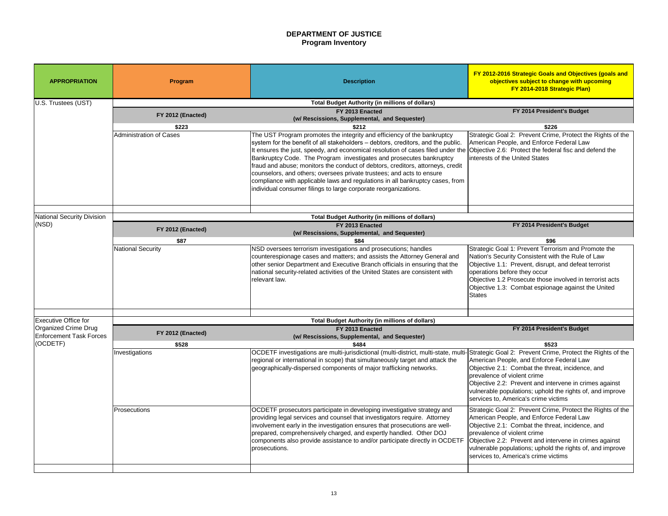# **DEPARTMENT OF JUSTICE Program Inventory**

### **FY 2014 President's Budget**

Objective 1.2 Prosecute those involved in terrorist acts Objective 1.3: Combat espionage against the United **States** 

Strategic Goal 2: Prevent Crime, Protect the Rights of the American People, and Enforce Federal Law Objective 2.6: Protect the federal fisc and defend the interests of the United States

### **FY 2014 President's Budget**

Strategic Goal 1: Prevent Terrorism and Promote the Nation's Security Consistent with the Rule of Law Objective 1.1: Prevent, disrupt, and defeat terrorist operations before they occur

| <b>APPROPRIATION</b>                                   | Program                        | <b>Description</b>                                                                                                                                                                                                                                                                                                                                                                                                                                                                                                                                                                                                                   | <b>FY 2012-2016 Strategic Goals</b><br>objectives subject to cha<br>FY 2014-2018 Str                                                                                                                                                            |
|--------------------------------------------------------|--------------------------------|--------------------------------------------------------------------------------------------------------------------------------------------------------------------------------------------------------------------------------------------------------------------------------------------------------------------------------------------------------------------------------------------------------------------------------------------------------------------------------------------------------------------------------------------------------------------------------------------------------------------------------------|-------------------------------------------------------------------------------------------------------------------------------------------------------------------------------------------------------------------------------------------------|
| U.S. Trustees (UST)                                    |                                | <b>Total Budget Authority (in millions of dollars)</b>                                                                                                                                                                                                                                                                                                                                                                                                                                                                                                                                                                               |                                                                                                                                                                                                                                                 |
|                                                        | FY 2012 (Enacted)              | FY 2013 Enacted<br>(w/ Rescissions, Supplemental, and Sequester)                                                                                                                                                                                                                                                                                                                                                                                                                                                                                                                                                                     | FY 2014 Preside                                                                                                                                                                                                                                 |
|                                                        | \$223                          | \$212                                                                                                                                                                                                                                                                                                                                                                                                                                                                                                                                                                                                                                | \$226                                                                                                                                                                                                                                           |
|                                                        | <b>Administration of Cases</b> | The UST Program promotes the integrity and efficiency of the bankruptcy<br>system for the benefit of all stakeholders – debtors, creditors, and the public.<br>It ensures the just, speedy, and economical resolution of cases filed under the<br>Bankruptcy Code. The Program investigates and prosecutes bankruptcy<br>fraud and abuse; monitors the conduct of debtors, creditors, attorneys, credit<br>counselors, and others; oversees private trustees; and acts to ensure<br>compliance with applicable laws and regulations in all bankruptcy cases, from<br>individual consumer filings to large corporate reorganizations. | Strategic Goal 2: Prevent Crime<br>American People, and Enforce I<br>Objective 2.6: Protect the feder<br>interests of the United States                                                                                                         |
| National Security Division                             |                                | <b>Total Budget Authority (in millions of dollars)</b>                                                                                                                                                                                                                                                                                                                                                                                                                                                                                                                                                                               |                                                                                                                                                                                                                                                 |
| (NSD)                                                  |                                | FY 2013 Enacted                                                                                                                                                                                                                                                                                                                                                                                                                                                                                                                                                                                                                      | FY 2014 Preside                                                                                                                                                                                                                                 |
|                                                        | FY 2012 (Enacted)              | (w/ Rescissions, Supplemental, and Sequester)                                                                                                                                                                                                                                                                                                                                                                                                                                                                                                                                                                                        |                                                                                                                                                                                                                                                 |
|                                                        | \$87                           | \$84                                                                                                                                                                                                                                                                                                                                                                                                                                                                                                                                                                                                                                 | \$96                                                                                                                                                                                                                                            |
|                                                        | <b>National Security</b>       | NSD oversees terrorism investigations and prosecutions; handles<br>counterespionage cases and matters; and assists the Attorney General and<br>other senior Department and Executive Branch officials in ensuring that the<br>national security-related activities of the United States are consistent with<br>relevant law.                                                                                                                                                                                                                                                                                                         | Strategic Goal 1: Prevent Terror<br><b>Nation's Security Consistent wit</b><br>Objective 1.1: Prevent, disrupt,<br>operations before they occur<br>Objective 1.2 Prosecute those in<br>Objective 1.3: Combat espiona<br><b>States</b>           |
|                                                        |                                |                                                                                                                                                                                                                                                                                                                                                                                                                                                                                                                                                                                                                                      |                                                                                                                                                                                                                                                 |
| <b>Executive Office for</b>                            |                                | <b>Total Budget Authority (in millions of dollars)</b>                                                                                                                                                                                                                                                                                                                                                                                                                                                                                                                                                                               |                                                                                                                                                                                                                                                 |
| Organized Crime Drug<br><b>Enforcement Task Forces</b> | FY 2012 (Enacted)              | FY 2013 Enacted<br>(w/ Rescissions, Supplemental, and Sequester)                                                                                                                                                                                                                                                                                                                                                                                                                                                                                                                                                                     | FY 2014 Preside                                                                                                                                                                                                                                 |
| (OCDETF)                                               | \$528                          | \$484                                                                                                                                                                                                                                                                                                                                                                                                                                                                                                                                                                                                                                | \$523                                                                                                                                                                                                                                           |
|                                                        | Investigations                 | OCDETF investigations are multi-jurisdictional (multi-district, multi-state, multi-Strategic Goal 2: Prevent Crime<br>regional or international in scope) that simultaneously target and attack the<br>geographically-dispersed components of major trafficking networks.                                                                                                                                                                                                                                                                                                                                                            | American People, and Enforce I<br>Objective 2.1: Combat the threa<br>prevalence of violent crime<br>Objective 2.2: Prevent and inter<br>vulnerable populations; uphold t<br>services to, America's crime vic                                    |
|                                                        | <b>Prosecutions</b>            | OCDETF prosecutors participate in developing investigative strategy and<br>providing legal services and counsel that investigators require. Attorney<br>involvement early in the investigation ensures that prosecutions are well-<br>prepared, comprehensively charged, and expertly handled. Other DOJ<br>components also provide assistance to and/or participate directly in OCDETF<br>prosecutions.                                                                                                                                                                                                                             | Strategic Goal 2: Prevent Crime<br>American People, and Enforce I<br>Objective 2.1: Combat the threa<br>prevalence of violent crime<br>Objective 2.2: Prevent and inter<br>vulnerable populations; uphold t<br>services to, America's crime vic |

# **FY 2014 President's Budget**

Strategic Goal 2: Prevent Crime, Protect the Rights of the American People, and Enforce Federal Law Objective 2.1: Combat the threat, incidence, and prevalence of violent crime Objective 2.2: Prevent and intervene in crimes against vulnerable populations; uphold the rights of, and improve services to, America's crime victims

Strategic Goal 2: Prevent Crime, Protect the Rights of the American People, and Enforce Federal Law Objective 2.1: Combat the threat, incidence, and prevalence of violent crime Objective 2.2: Prevent and intervene in crimes against

vulnerable populations; uphold the rights of, and improve services to, America's crime victims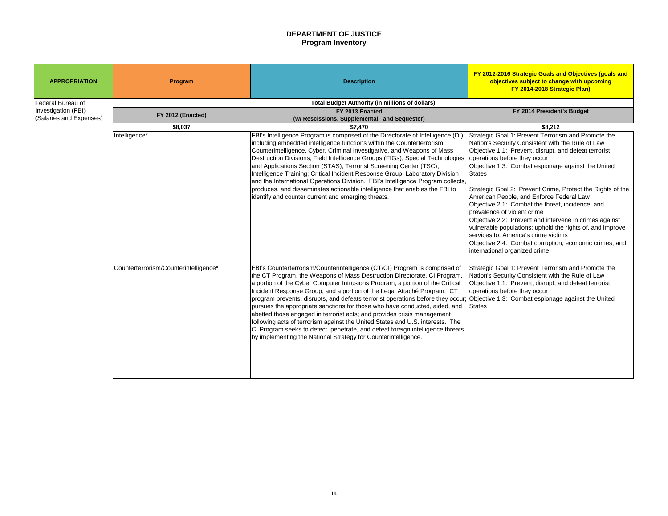# **DEPARTMENT OF JUSTICE Program Inventory**

| <b>APPROPRIATION</b>    | <b>Program</b>                                         | <b>Description</b>                                                                                                                                                                                                                                                                                                                                                                                                                                                                                                                                                                                                                                                                                                                                                                                                                                            | FY 2012-2016 Strategic Goals and Objectives (goals and<br>objectives subject to change with upcoming<br>FY 2014-2018 Strategic Plan)                                                                                                                                                                                                                                                                                                                                                                                                                                                                                                                                                                                     |  |  |
|-------------------------|--------------------------------------------------------|---------------------------------------------------------------------------------------------------------------------------------------------------------------------------------------------------------------------------------------------------------------------------------------------------------------------------------------------------------------------------------------------------------------------------------------------------------------------------------------------------------------------------------------------------------------------------------------------------------------------------------------------------------------------------------------------------------------------------------------------------------------------------------------------------------------------------------------------------------------|--------------------------------------------------------------------------------------------------------------------------------------------------------------------------------------------------------------------------------------------------------------------------------------------------------------------------------------------------------------------------------------------------------------------------------------------------------------------------------------------------------------------------------------------------------------------------------------------------------------------------------------------------------------------------------------------------------------------------|--|--|
| Federal Bureau of       | <b>Total Budget Authority (in millions of dollars)</b> |                                                                                                                                                                                                                                                                                                                                                                                                                                                                                                                                                                                                                                                                                                                                                                                                                                                               |                                                                                                                                                                                                                                                                                                                                                                                                                                                                                                                                                                                                                                                                                                                          |  |  |
| Investigation (FBI)     | FY 2012 (Enacted)                                      | FY 2013 Enacted                                                                                                                                                                                                                                                                                                                                                                                                                                                                                                                                                                                                                                                                                                                                                                                                                                               | FY 2014 President's Budget                                                                                                                                                                                                                                                                                                                                                                                                                                                                                                                                                                                                                                                                                               |  |  |
| (Salaries and Expenses) |                                                        | (w/ Rescissions, Supplemental, and Sequester)                                                                                                                                                                                                                                                                                                                                                                                                                                                                                                                                                                                                                                                                                                                                                                                                                 |                                                                                                                                                                                                                                                                                                                                                                                                                                                                                                                                                                                                                                                                                                                          |  |  |
|                         | \$8,037                                                | \$7,470                                                                                                                                                                                                                                                                                                                                                                                                                                                                                                                                                                                                                                                                                                                                                                                                                                                       | \$8,212                                                                                                                                                                                                                                                                                                                                                                                                                                                                                                                                                                                                                                                                                                                  |  |  |
|                         | Intelligence*                                          | FBI's Intelligence Program is comprised of the Directorate of Intelligence (DI),<br>including embedded intelligence functions within the Counterterrorism,<br>Counterintelligence, Cyber, Criminal Investigative, and Weapons of Mass<br>Destruction Divisions; Field Intelligence Groups (FIGs); Special Technologies<br>and Applications Section (STAS); Terrorist Screening Center (TSC);<br>Intelligence Training; Critical Incident Response Group; Laboratory Division<br>and the International Operations Division. FBI's Intelligence Program collects,<br>produces, and disseminates actionable intelligence that enables the FBI to<br>identify and counter current and emerging threats.                                                                                                                                                           | Strategic Goal 1: Prevent Terrorism and Promote the<br>Nation's Security Consistent with the Rule of Law<br>Objective 1.1: Prevent, disrupt, and defeat terrorist<br>operations before they occur<br>Objective 1.3: Combat espionage against the United<br>States<br>Strategic Goal 2: Prevent Crime, Protect the Rights of the<br>American People, and Enforce Federal Law<br>Objective 2.1: Combat the threat, incidence, and<br>prevalence of violent crime<br>Objective 2.2: Prevent and intervene in crimes against<br>vulnerable populations; uphold the rights of, and improve<br>services to, America's crime victims<br>Objective 2.4: Combat corruption, economic crimes, and<br>international organized crime |  |  |
|                         | Counterterrorism/Counterintelligence*                  | FBI's Counterterrorism/Counterintelligence (CT/CI) Program is comprised of<br>the CT Program, the Weapons of Mass Destruction Directorate, CI Program,<br>a portion of the Cyber Computer Intrusions Program, a portion of the Critical<br>Incident Response Group, and a portion of the Legal Attaché Program. CT<br>program prevents, disrupts, and defeats terrorist operations before they occur; Objective 1.3: Combat espionage against the United<br>pursues the appropriate sanctions for those who have conducted, aided, and States<br>abetted those engaged in terrorist acts; and provides crisis management<br>following acts of terrorism against the United States and U.S. interests. The<br>CI Program seeks to detect, penetrate, and defeat foreign intelligence threats<br>by implementing the National Strategy for Counterintelligence. | Strategic Goal 1: Prevent Terrorism and Promote the<br>Nation's Security Consistent with the Rule of Law<br>Objective 1.1: Prevent, disrupt, and defeat terrorist<br>operations before they occur                                                                                                                                                                                                                                                                                                                                                                                                                                                                                                                        |  |  |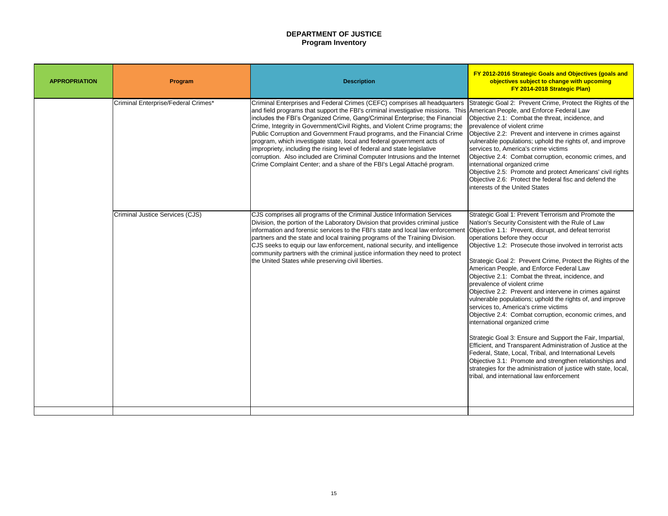# **DEPARTMENT OF JUSTICE Program Inventory**

| <b>APPROPRIATION</b> | Program                             | <b>Description</b>                                                                                                                                                                                                                                                                                                                                                                                                                                                                                                                                                                                                                                                                                                      |
|----------------------|-------------------------------------|-------------------------------------------------------------------------------------------------------------------------------------------------------------------------------------------------------------------------------------------------------------------------------------------------------------------------------------------------------------------------------------------------------------------------------------------------------------------------------------------------------------------------------------------------------------------------------------------------------------------------------------------------------------------------------------------------------------------------|
|                      | Criminal Enterprise/Federal Crimes* | Criminal Enterprises and Federal Crimes (CEFC) comprises all headquarters<br>and field programs that support the FBI's criminal investigative missions. This<br>includes the FBI's Organized Crime, Gang/Criminal Enterprise; the Financial<br>Crime, Integrity in Government/Civil Rights, and Violent Crime programs; the<br>Public Corruption and Government Fraud programs, and the Financial Crime<br>program, which investigate state, local and federal government acts of<br>impropriety, including the rising level of federal and state legislative<br>corruption. Also included are Criminal Computer Intrusions and the Internet<br>Crime Complaint Center; and a share of the FBI's Legal Attaché program. |
|                      | Criminal Justice Services (CJS)     | CJS comprises all programs of the Criminal Justice Information Services<br>Division, the portion of the Laboratory Division that provides criminal justice<br>information and forensic services to the FBI's state and local law enforcement<br>partners and the state and local training programs of the Training Division.<br>CJS seeks to equip our law enforcement, national security, and intelligence<br>community partners with the criminal justice information they need to protect<br>the United States while preserving civil liberties.                                                                                                                                                                     |

- Strategic Goal 2: Prevent Crime, Protect the Rights of the American People, and Enforce Federal Law
- Objective 2.1: Combat the threat, incidence, and prevalence of violent crime
- Objective 2.2: Prevent and intervene in crimes against vulnerable populations; uphold the rights of, and improve services to, America's crime victims
- Objective 2.4: Combat corruption, economic crimes, and international organized crime
- Objective 2.5: Promote and protect Americans' civil rights Objective 2.6: Protect the federal fisc and defend the interests of the United States
- Strategic Goal 1: Prevent Terrorism and Promote the Nation's Security Consistent with the Rule of Law Objective 1.1: Prevent, disrupt, and defeat terrorist operations before they occur
- Objective 1.2: Prosecute those involved in terrorist acts
- Strategic Goal 2: Prevent Crime, Protect the Rights of the American People, and Enforce Federal Law
- Objective 2.1: Combat the threat, incidence, and prevalence of violent crime
- Objective 2.2: Prevent and intervene in crimes against vulnerable populations; uphold the rights of, and improve services to, America's crime victims
- Objective 2.4: Combat corruption, economic crimes, and international organized crime
- Strategic Goal 3: Ensure and Support the Fair, Impartial, Efficient, and Transparent Administration of Justice at the Federal, State, Local, Tribal, and International Levels Objective 3.1: Promote and strengthen relationships and strategies for the administration of justice with state, local, tribal, and international law enforcement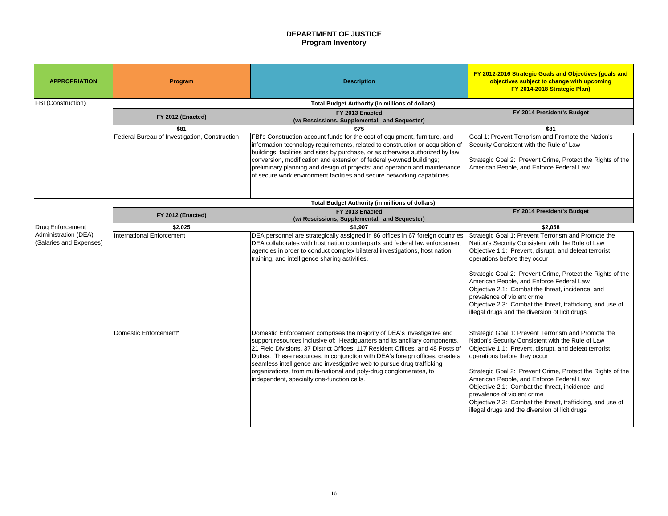# **DEPARTMENT OF JUSTICE Program Inventory**

### **FY 2014 President's Budget**

Goal 1: Prevent Terrorism and Promote the Nation's Security Consistent with the Rule of Law

Strategic Goal 2: Prevent Crime, Protect the Rights of the American People, and Enforce Federal Law

### **FY 2014 President's Budget**

| <b>APPROPRIATION</b>                            | Program                                       | <b>Description</b>                                                                                                                                                                                                                                                                                                                                                                                                                                                                                                   | FY 2012-2016 Strategic Goals a<br>objectives subject to cha<br>FY 2014-2018 Stra                                                                                                                                                                                                                                                                              |
|-------------------------------------------------|-----------------------------------------------|----------------------------------------------------------------------------------------------------------------------------------------------------------------------------------------------------------------------------------------------------------------------------------------------------------------------------------------------------------------------------------------------------------------------------------------------------------------------------------------------------------------------|---------------------------------------------------------------------------------------------------------------------------------------------------------------------------------------------------------------------------------------------------------------------------------------------------------------------------------------------------------------|
| <b>FBI (Construction)</b>                       |                                               | <b>Total Budget Authority (in millions of dollars)</b>                                                                                                                                                                                                                                                                                                                                                                                                                                                               |                                                                                                                                                                                                                                                                                                                                                               |
|                                                 | FY 2012 (Enacted)                             | FY 2013 Enacted<br>(w/ Rescissions, Supplemental, and Sequester)                                                                                                                                                                                                                                                                                                                                                                                                                                                     | FY 2014 Presider                                                                                                                                                                                                                                                                                                                                              |
|                                                 | \$81                                          | \$75                                                                                                                                                                                                                                                                                                                                                                                                                                                                                                                 | \$81                                                                                                                                                                                                                                                                                                                                                          |
|                                                 | Federal Bureau of Investigation, Construction | FBI's Construction account funds for the cost of equipment, furniture, and<br>information technology requirements, related to construction or acquisition of<br>buildings, facilities and sites by purchase, or as otherwise authorized by law;<br>conversion, modification and extension of federally-owned buildings;<br>preliminary planning and design of projects; and operation and maintenance<br>of secure work environment facilities and secure networking capabilities.                                   | Goal 1: Prevent Terrorism and P<br>Security Consistent with the Rule<br>Strategic Goal 2: Prevent Crime<br>American People, and Enforce F                                                                                                                                                                                                                     |
|                                                 |                                               | <b>Total Budget Authority (in millions of dollars)</b>                                                                                                                                                                                                                                                                                                                                                                                                                                                               |                                                                                                                                                                                                                                                                                                                                                               |
|                                                 | FY 2012 (Enacted)                             | FY 2013 Enacted<br>(w/ Rescissions, Supplemental, and Sequester)                                                                                                                                                                                                                                                                                                                                                                                                                                                     | FY 2014 Presider                                                                                                                                                                                                                                                                                                                                              |
| Drug Enforcement                                | \$2,025                                       | \$1,907                                                                                                                                                                                                                                                                                                                                                                                                                                                                                                              | \$2,058                                                                                                                                                                                                                                                                                                                                                       |
| Administration (DEA)<br>(Salaries and Expenses) | <b>International Enforcement</b>              | DEA personnel are strategically assigned in 86 offices in 67 foreign countries.<br>DEA collaborates with host nation counterparts and federal law enforcement<br>agencies in order to conduct complex bilateral investigations, host nation<br>training, and intelligence sharing activities.                                                                                                                                                                                                                        | Strategic Goal 1: Prevent Terrori<br>Nation's Security Consistent with<br>Objective 1.1: Prevent, disrupt, a<br>operations before they occur<br>Strategic Goal 2: Prevent Crime<br>American People, and Enforce F<br>Objective 2.1: Combat the threa<br>prevalence of violent crime<br>Objective 2.3: Combat the threa<br>lillegal drugs and the diversion of |
|                                                 | Domestic Enforcement*                         | Domestic Enforcement comprises the majority of DEA's investigative and<br>support resources inclusive of: Headquarters and its ancillary components,<br>21 Field Divisions, 37 District Offices, 117 Resident Offices, and 48 Posts of<br>Duties. These resources, in conjunction with DEA's foreign offices, create a<br>seamless intelligence and investigative web to pursue drug trafficking<br>organizations, from multi-national and poly-drug conglomerates, to<br>independent, specialty one-function cells. | Strategic Goal 1: Prevent Terrori<br>Nation's Security Consistent with<br>Objective 1.1: Prevent, disrupt, a<br>operations before they occur<br>Strategic Goal 2: Prevent Crime<br>American People, and Enforce F<br>Objective 2.1: Combat the threa<br>prevalence of violent crime<br>Objective 2.3: Combat the threa<br>illegal drugs and the diversion of  |

Strategic Goal 1: Prevent Terrorism and Promote the Nation's Security Consistent with the Rule of Law Objective 1.1: Prevent, disrupt, and defeat terrorist operations before they occur

Strategic Goal 2: Prevent Crime, Protect the Rights of the American People, and Enforce Federal Law Objective 2.1: Combat the threat, incidence, and prevalence of violent crime Objective 2.3: Combat the threat, trafficking, and use of

illegal drugs and the diversion of licit drugs

Strategic Goal 1: Prevent Terrorism and Promote the Nation's Security Consistent with the Rule of Law Objective 1.1: Prevent, disrupt, and defeat terrorist operations before they occur

Strategic Goal 2: Prevent Crime, Protect the Rights of the American People, and Enforce Federal Law Objective 2.1: Combat the threat, incidence, and prevalence of violent crime Objective 2.3: Combat the threat, trafficking, and use of illegal drugs and the diversion of licit drugs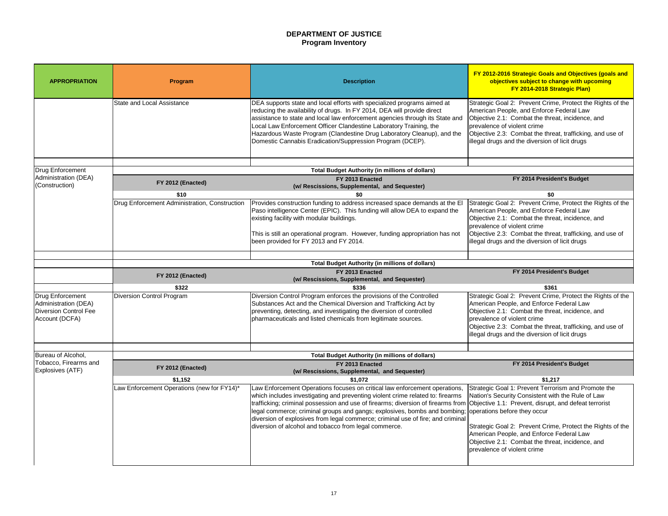# **DEPARTMENT OF JUSTICE Program Inventory**

- Strategic Goal 2: Prevent Crime, Protect the Rights of the American People, and Enforce Federal Law Objective 2.1: Combat the threat, incidence, and prevalence of violent crime Objective 2.3: Combat the threat, trafficking, and use of
- illegal drugs and the diversion of licit drugs

### **FY 2014 President's Budget**

- Strategic Goal 2: Prevent Crime, Protect the Rights of the American People, and Enforce Federal Law Objective 2.1: Combat the threat, incidence, and prevalence of violent crime Objective 2.3: Combat the threat, trafficking, and use of
- illegal drugs and the diversion of licit drugs

### **FY 2014 President's Budget**

| <b>APPROPRIATION</b>                                                                       | <b>Program</b>                                        | <b>Description</b>                                                                                                                                                                                                                                                                                                                                                                                                                              | FY 2012-2016 Strategic Goals a<br>objectives subject to cha<br>FY 2014-2018 Stra                                                                                                                              |
|--------------------------------------------------------------------------------------------|-------------------------------------------------------|-------------------------------------------------------------------------------------------------------------------------------------------------------------------------------------------------------------------------------------------------------------------------------------------------------------------------------------------------------------------------------------------------------------------------------------------------|---------------------------------------------------------------------------------------------------------------------------------------------------------------------------------------------------------------|
|                                                                                            | <b>State and Local Assistance</b>                     | DEA supports state and local efforts with specialized programs aimed at<br>reducing the availability of drugs. In FY 2014, DEA will provide direct<br>assistance to state and local law enforcement agencies through its State and<br>Local Law Enforcement Officer Clandestine Laboratory Training, the<br>Hazardous Waste Program (Clandestine Drug Laboratory Cleanup), and the<br>Domestic Cannabis Eradication/Suppression Program (DCEP). | Strategic Goal 2: Prevent Crime<br>American People, and Enforce F<br>Objective 2.1: Combat the threa<br>prevalence of violent crime<br>Objective 2.3: Combat the threa<br>illegal drugs and the diversion of  |
|                                                                                            |                                                       |                                                                                                                                                                                                                                                                                                                                                                                                                                                 |                                                                                                                                                                                                               |
| <b>Drug Enforcement</b>                                                                    |                                                       | <b>Total Budget Authority (in millions of dollars)</b>                                                                                                                                                                                                                                                                                                                                                                                          |                                                                                                                                                                                                               |
| Administration (DEA)<br>(Construction)                                                     | FY 2012 (Enacted)                                     | FY 2013 Enacted<br>(w/ Rescissions, Supplemental, and Sequester)                                                                                                                                                                                                                                                                                                                                                                                | FY 2014 Presider                                                                                                                                                                                              |
|                                                                                            | \$10                                                  | \$0                                                                                                                                                                                                                                                                                                                                                                                                                                             | \$0                                                                                                                                                                                                           |
|                                                                                            | Drug Enforcement Administration, Construction         | Provides construction funding to address increased space demands at the El<br>Paso intelligence Center (EPIC). This funding will allow DEA to expand the<br>existing facility with modular buildings.<br>This is still an operational program. However, funding appropriation has not<br>been provided for FY 2013 and FY 2014.                                                                                                                 | Strategic Goal 2: Prevent Crime<br>American People, and Enforce F<br>Objective 2.1: Combat the threa<br>prevalence of violent crime<br>Objective 2.3: Combat the threa<br>illegal drugs and the diversion of  |
|                                                                                            |                                                       |                                                                                                                                                                                                                                                                                                                                                                                                                                                 |                                                                                                                                                                                                               |
|                                                                                            |                                                       | <b>Total Budget Authority (in millions of dollars)</b><br>FY 2013 Enacted                                                                                                                                                                                                                                                                                                                                                                       | FY 2014 Presider                                                                                                                                                                                              |
|                                                                                            | FY 2012 (Enacted)                                     | (w/ Rescissions, Supplemental, and Sequester)                                                                                                                                                                                                                                                                                                                                                                                                   |                                                                                                                                                                                                               |
|                                                                                            | \$322                                                 | \$336                                                                                                                                                                                                                                                                                                                                                                                                                                           | \$361                                                                                                                                                                                                         |
|                                                                                            |                                                       |                                                                                                                                                                                                                                                                                                                                                                                                                                                 |                                                                                                                                                                                                               |
| <b>Drug Enforcement</b><br>Administration (DEA)<br>Diversion Control Fee<br>Account (DCFA) | <b>Diversion Control Program</b>                      | Diversion Control Program enforces the provisions of the Controlled<br>Substances Act and the Chemical Diversion and Trafficking Act by<br>preventing, detecting, and investigating the diversion of controlled<br>pharmaceuticals and listed chemicals from legitimate sources.                                                                                                                                                                | Strategic Goal 2: Prevent Crime<br>American People, and Enforce F<br>Objective 2.1: Combat the threa<br>prevalence of violent crime<br>Objective 2.3: Combat the threa<br>lillegal drugs and the diversion of |
|                                                                                            |                                                       |                                                                                                                                                                                                                                                                                                                                                                                                                                                 |                                                                                                                                                                                                               |
| Bureau of Alcohol,                                                                         |                                                       | <b>Total Budget Authority (in millions of dollars)</b>                                                                                                                                                                                                                                                                                                                                                                                          |                                                                                                                                                                                                               |
| Tobacco, Firearms and<br><b>Explosives (ATF)</b>                                           | FY 2012 (Enacted)                                     | FY 2013 Enacted<br>(w/ Rescissions, Supplemental, and Sequester)                                                                                                                                                                                                                                                                                                                                                                                | FY 2014 Presider                                                                                                                                                                                              |
|                                                                                            | \$1,152<br>Law Enforcement Operations (new for FY14)* | \$1,072<br>Law Enforcement Operations focuses on critical law enforcement operations,                                                                                                                                                                                                                                                                                                                                                           | \$1,217<br>Strategic Goal 1: Prevent Terrori                                                                                                                                                                  |

- Strategic Goal 2: Prevent Crime, Protect the Rights of the American People, and Enforce Federal Law Objective 2.1: Combat the threat, incidence, and prevalence of violent crime Objective 2.3: Combat the threat, trafficking, and use of
- illegal drugs and the diversion of licit drugs

### **FY 2014 President's Budget**

- Strategic Goal 1: Prevent Terrorism and Promote the Nation's Security Consistent with the Rule of Law Objective 1.1: Prevent, disrupt, and defeat terrorist operations before they occur
- Strategic Goal 2: Prevent Crime, Protect the Rights of the American People, and Enforce Federal Law Objective 2.1: Combat the threat, incidence, and prevalence of violent crime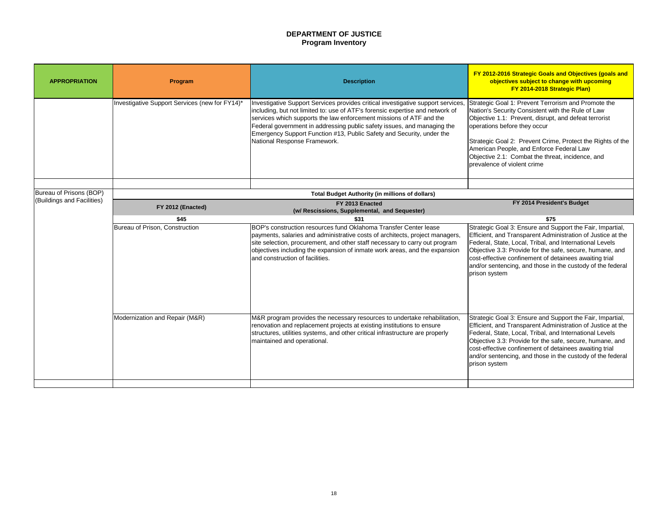# **DEPARTMENT OF JUSTICE Program Inventory**

Strategic Goal 1: Prevent Terrorism and Promote the Nation's Security Consistent with the Rule of Law Objective 1.1: Prevent, disrupt, and defeat terrorist operations before they occur

Strategic Goal 2: Prevent Crime, Protect the Rights of the American People, and Enforce Federal Law Objective 2.1: Combat the threat, incidence, and prevalence of violent crime

# **FY 2014 President's Budget**

| <b>APPROPRIATION</b>                                  | Program                                        | <b>Description</b>                                                                                                                                                                                                                                                                                                                                                                                                           | FY 2012-2016 Strategic Goals<br>objectives subject to ch<br>FY 2014-2018 St                                                                                                                                                                                                       |
|-------------------------------------------------------|------------------------------------------------|------------------------------------------------------------------------------------------------------------------------------------------------------------------------------------------------------------------------------------------------------------------------------------------------------------------------------------------------------------------------------------------------------------------------------|-----------------------------------------------------------------------------------------------------------------------------------------------------------------------------------------------------------------------------------------------------------------------------------|
|                                                       | Investigative Support Services (new for FY14)* | Investigative Support Services provides critical investigative support services,<br>including, but not limited to: use of ATF's forensic expertise and network of<br>services which supports the law enforcement missions of ATF and the<br>Federal government in addressing public safety issues, and managing the<br>Emergency Support Function #13, Public Safety and Security, under the<br>National Response Framework. | <b>Strategic Goal 1: Prevent Terro</b><br>Nation's Security Consistent wit<br>Objective 1.1: Prevent, disrupt,<br>operations before they occur<br>Strategic Goal 2: Prevent Crim<br>American People, and Enforce<br>Objective 2.1: Combat the thre<br>prevalence of violent crime |
| Bureau of Prisons (BOP)<br>(Buildings and Facilities) |                                                | <b>Total Budget Authority (in millions of dollars)</b>                                                                                                                                                                                                                                                                                                                                                                       |                                                                                                                                                                                                                                                                                   |
|                                                       | FY 2012 (Enacted)                              | FY 2013 Enacted<br>(w/ Rescissions, Supplemental, and Sequester)                                                                                                                                                                                                                                                                                                                                                             | FY 2014 Preside                                                                                                                                                                                                                                                                   |
|                                                       | \$45                                           | \$31                                                                                                                                                                                                                                                                                                                                                                                                                         | \$75                                                                                                                                                                                                                                                                              |
|                                                       | Bureau of Prison, Construction                 | BOP's construction resources fund Oklahoma Transfer Center lease<br>payments, salaries and administrative costs of architects, project managers,<br>site selection, procurement, and other staff necessary to carry out program<br>objectives including the expansion of inmate work areas, and the expansion<br>land construction of facilities.                                                                            | Strategic Goal 3: Ensure and S<br>Efficient, and Transparent Adm<br>Federal, State, Local, Tribal, ar<br>Objective 3.3: Provide for the sa<br>cost-effective confinement of de<br>and/or sentencing, and those in<br>prison system                                                |
|                                                       | Modernization and Repair (M&R)                 | M&R program provides the necessary resources to undertake rehabilitation,<br>renovation and replacement projects at existing institutions to ensure<br>structures, utilities systems, and other critical infrastructure are properly<br>maintained and operational.                                                                                                                                                          | Strategic Goal 3: Ensure and S<br><b>Efficient, and Transparent Adm</b><br>Federal, State, Local, Tribal, an<br>Objective 3.3: Provide for the sa<br>cost-effective confinement of de<br>and/or sentencing, and those in<br>prison system                                         |
|                                                       |                                                |                                                                                                                                                                                                                                                                                                                                                                                                                              |                                                                                                                                                                                                                                                                                   |

Strategic Goal 3: Ensure and Support the Fair, Impartial, Efficient, and Transparent Administration of Justice at the Federal, State, Local, Tribal, and International Levels Objective 3.3: Provide for the safe, secure, humane, and cost-effective confinement of detainees awaiting trial and/or sentencing, and those in the custody of the federal prison system

Strategic Goal 3: Ensure and Support the Fair, Impartial, Efficient, and Transparent Administration of Justice at the Federal, State, Local, Tribal, and International Levels Objective 3.3: Provide for the safe, secure, humane, and cost-effective confinement of detainees awaiting trial and/or sentencing, and those in the custody of the federal prison system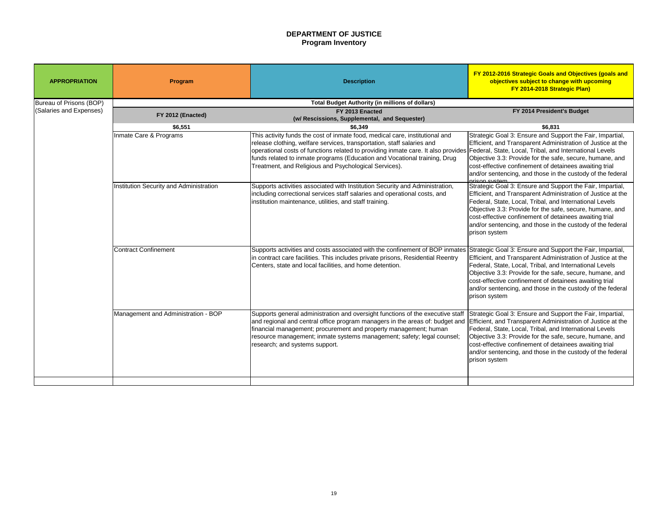# **DEPARTMENT OF JUSTICE Program Inventory**

### **FY 2014 President's Budget**

Strategic Goal 3: Ensure and Support the Fair, Impartial, Efficient, and Transparent Administration of Justice at the Federal, State, Local, Tribal, and International Levels Objective 3.3: Provide for the safe, secure, humane, and cost-effective confinement of detainees awaiting trial and/or sentencing, and those in the custody of the federal

prison system Strategic Goal 3: Ensure and Support the Fair, Impartial, Efficient, and Transparent Administration of Justice at the Federal, State, Local, Tribal, and International Levels Objective 3.3: Provide for the safe, secure, humane, and cost-effective confinement of detainees awaiting trial and/or sentencing, and those in the custody of the federal prison system

| <b>APPROPRIATION</b>           | Program                                 | <b>Description</b>                                                                                                                                                                                                                                                                                                                                                                                                     | FY 2012-2016 Strategic Goals a<br>objectives subject to cha<br><b>FY 2014-2018 Stra</b>                                                                                                                                                           |
|--------------------------------|-----------------------------------------|------------------------------------------------------------------------------------------------------------------------------------------------------------------------------------------------------------------------------------------------------------------------------------------------------------------------------------------------------------------------------------------------------------------------|---------------------------------------------------------------------------------------------------------------------------------------------------------------------------------------------------------------------------------------------------|
| <b>Bureau of Prisons (BOP)</b> |                                         | <b>Total Budget Authority (in millions of dollars)</b>                                                                                                                                                                                                                                                                                                                                                                 |                                                                                                                                                                                                                                                   |
| (Salaries and Expenses)        |                                         | FY 2013 Enacted                                                                                                                                                                                                                                                                                                                                                                                                        | FY 2014 Presider                                                                                                                                                                                                                                  |
|                                | FY 2012 (Enacted)                       | (w/ Rescissions, Supplemental, and Sequester)                                                                                                                                                                                                                                                                                                                                                                          |                                                                                                                                                                                                                                                   |
|                                | \$6,551                                 | \$6,349                                                                                                                                                                                                                                                                                                                                                                                                                | \$6,831                                                                                                                                                                                                                                           |
|                                | Inmate Care & Programs                  | This activity funds the cost of inmate food, medical care, institutional and<br>release clothing, welfare services, transportation, staff salaries and<br> operational costs of functions related to providing inmate care. It also provides  Federal, State, Local, Tribal, and<br>funds related to inmate programs (Education and Vocational training, Drug<br>Treatment, and Religious and Psychological Services). | Strategic Goal 3: Ensure and Su<br><b>Efficient, and Transparent Admir</b><br>Objective 3.3: Provide for the saf<br>cost-effective confinement of det<br>and/or sentencing, and those in t<br><u>arisan svetam.</u>                               |
|                                | Institution Security and Administration | Supports activities associated with Institution Security and Administration,<br>including correctional services staff salaries and operational costs, and<br>institution maintenance, utilities, and staff training.                                                                                                                                                                                                   | Strategic Goal 3: Ensure and Su<br><b>Efficient, and Transparent Admin</b><br>Federal, State, Local, Tribal, and<br>Objective 3.3: Provide for the saf<br>cost-effective confinement of det<br>and/or sentencing, and those in t<br>prison system |
|                                | <b>Contract Confinement</b>             | Supports activities and costs associated with the confinement of BOP inmates<br>In contract care facilities. This includes private prisons, Residential Reentry<br>Centers, state and local facilities, and home detention.                                                                                                                                                                                            | Strategic Goal 3: Ensure and Su<br><b>Efficient, and Transparent Admir</b><br>Federal, State, Local, Tribal, and<br>Objective 3.3: Provide for the saf<br>cost-effective confinement of det<br>and/or sentencing, and those in t<br>prison system |
|                                | Management and Administration - BOP     | Supports general administration and oversight functions of the executive staff<br>and regional and central office program managers in the areas of: budget and<br>financial management; procurement and property management; human<br>resource management; inmate systems management; safety; legal counsel;<br>research; and systems support.                                                                         | Strategic Goal 3: Ensure and Sup<br>Efficient, and Transparent Admin<br>Federal, State, Local, Tribal, and<br>Objective 3.3: Provide for the saf<br>cost-effective confinement of det<br>and/or sentencing, and those in t<br>prison system       |
|                                |                                         |                                                                                                                                                                                                                                                                                                                                                                                                                        |                                                                                                                                                                                                                                                   |

Strategic Goal 3: Ensure and Support the Fair, Impartial, Efficient, and Transparent Administration of Justice at the Federal, State, Local, Tribal, and International Levels Objective 3.3: Provide for the safe, secure, humane, and cost-effective confinement of detainees awaiting trial and/or sentencing, and those in the custody of the federal prison system

Strategic Goal 3: Ensure and Support the Fair, Impartial, Efficient, and Transparent Administration of Justice at the Federal, State, Local, Tribal, and International Levels Objective 3.3: Provide for the safe, secure, humane, and cost-effective confinement of detainees awaiting trial and/or sentencing, and those in the custody of the federal prison system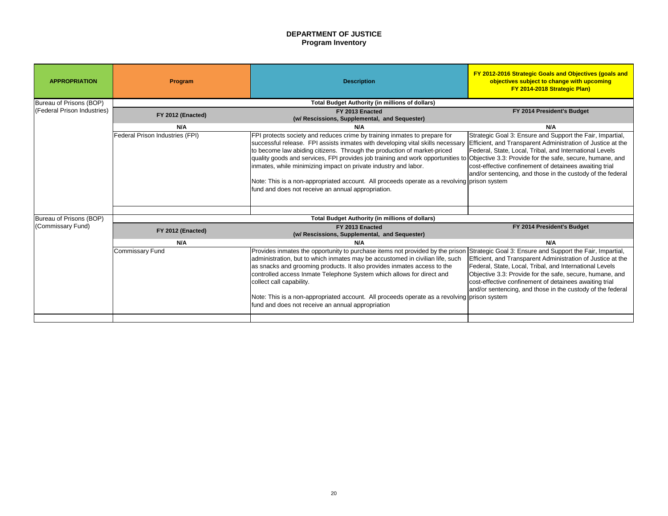# **DEPARTMENT OF JUSTICE Program Inventory**

# **FY 2014 President's Budget**

Strategic Goal 3: Ensure and Support the Fair, Impartial, Efficient, and Transparent Administration of Justice at the Federal, State, Local, Tribal, and International Levels Objective 3.3: Provide for the safe, secure, humane, and cost-effective confinement of detainees awaiting trial and/or sentencing, and those in the custody of the federal prison system

| <b>APPROPRIATION</b>        | Program                                | <b>Description</b>                                                                                                                                                                                                                                                                                                                                                                                                                                                                                                                                                                   | FY 2012-2016 Strategic Goals<br>objectives subject to ch<br>FY 2014-2018 St                                                                                                                                       |
|-----------------------------|----------------------------------------|--------------------------------------------------------------------------------------------------------------------------------------------------------------------------------------------------------------------------------------------------------------------------------------------------------------------------------------------------------------------------------------------------------------------------------------------------------------------------------------------------------------------------------------------------------------------------------------|-------------------------------------------------------------------------------------------------------------------------------------------------------------------------------------------------------------------|
| Bureau of Prisons (BOP)     |                                        | <b>Total Budget Authority (in millions of dollars)</b>                                                                                                                                                                                                                                                                                                                                                                                                                                                                                                                               |                                                                                                                                                                                                                   |
| (Federal Prison Industries) | FY 2012 (Enacted)                      | FY 2013 Enacted<br>(w/ Rescissions, Supplemental, and Sequester)                                                                                                                                                                                                                                                                                                                                                                                                                                                                                                                     | FY 2014 Preside                                                                                                                                                                                                   |
|                             | N/A                                    | N/A                                                                                                                                                                                                                                                                                                                                                                                                                                                                                                                                                                                  | N/A                                                                                                                                                                                                               |
|                             | <b>Federal Prison Industries (FPI)</b> | FPI protects society and reduces crime by training inmates to prepare for<br>successful release. FPI assists inmates with developing vital skills necessary<br>to become law abiding citizens. Through the production of market-priced<br>quality goods and services, FPI provides job training and work opportunities to Objective 3.3: Provide for the sa<br>linmates, while minimizing impact on private industry and labor.<br>Note: This is a non-appropriated account. All proceeds operate as a revolving prison system<br>fund and does not receive an annual appropriation. | Strategic Goal 3: Ensure and S<br>Efficient, and Transparent Adm<br>Federal, State, Local, Tribal, an<br>cost-effective confinement of de<br>and/or sentencing, and those in                                      |
| Bureau of Prisons (BOP)     |                                        | <b>Total Budget Authority (in millions of dollars)</b>                                                                                                                                                                                                                                                                                                                                                                                                                                                                                                                               |                                                                                                                                                                                                                   |
| (Commissary Fund)           | FY 2012 (Enacted)                      | FY 2013 Enacted<br>(w/ Rescissions, Supplemental, and Sequester)                                                                                                                                                                                                                                                                                                                                                                                                                                                                                                                     | FY 2014 Preside                                                                                                                                                                                                   |
|                             | N/A                                    | N/A                                                                                                                                                                                                                                                                                                                                                                                                                                                                                                                                                                                  | N/A                                                                                                                                                                                                               |
|                             | <b>Commissary Fund</b>                 | Provides inmates the opportunity to purchase items not provided by the prison<br>administration, but to which inmates may be accustomed in civilian life, such<br>as snacks and grooming products. It also provides inmates access to the<br>controlled access Inmate Telephone System which allows for direct and<br>collect call capability.<br>Note: This is a non-appropriated account. All proceeds operate as a revolving prison system<br>fund and does not receive an annual appropriation                                                                                   | Strategic Goal 3: Ensure and S<br>Efficient, and Transparent Adm<br>Federal, State, Local, Tribal, an<br>Objective 3.3: Provide for the sa<br>cost-effective confinement of de<br>and/or sentencing, and those in |
|                             |                                        |                                                                                                                                                                                                                                                                                                                                                                                                                                                                                                                                                                                      |                                                                                                                                                                                                                   |

### **FY 2014 President's Budget**

Strategic Goal 3: Ensure and Support the Fair, Impartial, Efficient, and Transparent Administration of Justice at the Federal, State, Local, Tribal, and International Levels Objective 3.3: Provide for the safe, secure, humane, and cost-effective confinement of detainees awaiting trial and/or sentencing, and those in the custody of the federal prison system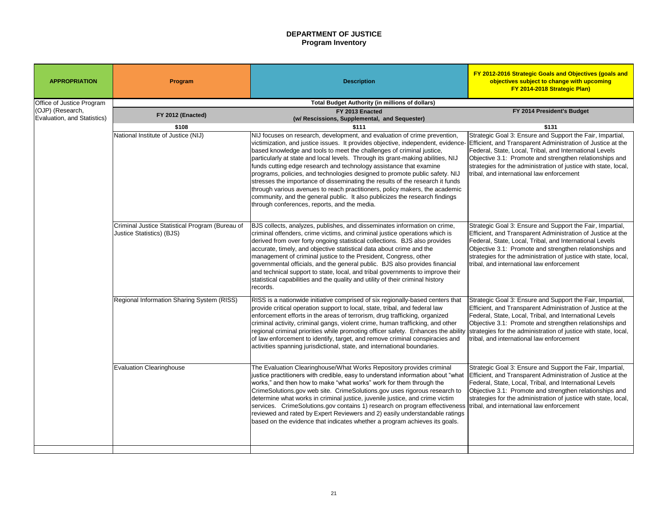# **DEPARTMENT OF JUSTICE Program Inventory**

### **FY 2014 President's Budget**

Strategic Goal 3: Ensure and Support the Fair, Impartial, Efficient, and Transparent Administration of Justice at the Federal, State, Local, Tribal, and International Levels Objective 3.1: Promote and strengthen relationships and strategies for the administration of justice with state, local, tribal, and international law enforcement

| <b>APPROPRIATION</b>                            | Program                                                                             | <b>Description</b>                                                                                                                                                                                                                                                                                                                                                                                                                                                                                                                                                                                                                                                                                                                                                            | <b>FY 2012-2016 Strategic Goals</b><br>objectives subject to cha<br>FY 2014-2018 Str                                                                                                                                          |
|-------------------------------------------------|-------------------------------------------------------------------------------------|-------------------------------------------------------------------------------------------------------------------------------------------------------------------------------------------------------------------------------------------------------------------------------------------------------------------------------------------------------------------------------------------------------------------------------------------------------------------------------------------------------------------------------------------------------------------------------------------------------------------------------------------------------------------------------------------------------------------------------------------------------------------------------|-------------------------------------------------------------------------------------------------------------------------------------------------------------------------------------------------------------------------------|
| Office of Justice Program                       |                                                                                     | <b>Total Budget Authority (in millions of dollars)</b>                                                                                                                                                                                                                                                                                                                                                                                                                                                                                                                                                                                                                                                                                                                        |                                                                                                                                                                                                                               |
| (OJP) (Research,<br>Evaluation, and Statistics) | FY 2012 (Enacted)                                                                   | FY 2013 Enacted                                                                                                                                                                                                                                                                                                                                                                                                                                                                                                                                                                                                                                                                                                                                                               | FY 2014 Preside                                                                                                                                                                                                               |
|                                                 | \$108                                                                               | (w/ Rescissions, Supplemental, and Sequester)<br>\$111                                                                                                                                                                                                                                                                                                                                                                                                                                                                                                                                                                                                                                                                                                                        | \$131                                                                                                                                                                                                                         |
|                                                 | National Institute of Justice (NIJ)                                                 | NIJ focuses on research, development, and evaluation of crime prevention,<br>victimization, and justice issues. It provides objective, independent, evidence-<br>based knowledge and tools to meet the challenges of criminal justice,<br>particularly at state and local levels. Through its grant-making abilities, NIJ<br>funds cutting edge research and technology assistance that examine<br>programs, policies, and technologies designed to promote public safety. NIJ<br>stresses the importance of disseminating the results of the research it funds<br>through various avenues to reach practitioners, policy makers, the academic<br>community, and the general public. It also publicizes the research findings<br>through conferences, reports, and the media. | Strategic Goal 3: Ensure and Su<br><b>Efficient, and Transparent Admi</b><br>Federal, State, Local, Tribal, and<br>Objective 3.1: Promote and stre<br>strategies for the administration<br>tribal, and international law enfo |
|                                                 | Criminal Justice Statistical Program (Bureau of<br><b>Justice Statistics) (BJS)</b> | BJS collects, analyzes, publishes, and disseminates information on crime,<br>criminal offenders, crime victims, and criminal justice operations which is<br>derived from over forty ongoing statistical collections. BJS also provides<br>accurate, timely, and objective statistical data about crime and the<br>management of criminal justice to the President, Congress, other<br>governmental officials, and the general public. BJS also provides financial<br>and technical support to state, local, and tribal governments to improve their<br>statistical capabilities and the quality and utility of their criminal history<br>records.                                                                                                                             | Strategic Goal 3: Ensure and Su<br><b>Efficient, and Transparent Admi</b><br>Federal, State, Local, Tribal, and<br>Objective 3.1: Promote and stre<br>strategies for the administration<br>tribal, and international law enfo |
|                                                 | Regional Information Sharing System (RISS)                                          | RISS is a nationwide initiative comprised of six regionally-based centers that<br>provide critical operation support to local, state, tribal, and federal law<br>enforcement efforts in the areas of terrorism, drug trafficking, organized<br>criminal activity, criminal gangs, violent crime, human trafficking, and other<br>regional criminal priorities while promoting officer safety. Enhances the ability<br>of law enforcement to identify, target, and remove criminal conspiracies and<br>activities spanning jurisdictional, state, and international boundaries.                                                                                                                                                                                                | Strategic Goal 3: Ensure and Su<br><b>Efficient, and Transparent Admi</b><br>Federal, State, Local, Tribal, and<br>Objective 3.1: Promote and stre<br>strategies for the administration<br>tribal, and international law enfo |
|                                                 | <b>Evaluation Clearinghouse</b>                                                     | The Evaluation Clearinghouse/What Works Repository provides criminal<br>justice practitioners with credible, easy to understand information about "what<br>works," and then how to make "what works" work for them through the<br>CrimeSolutions.gov web site. CrimeSolutions.gov uses rigorous research to<br>determine what works in criminal justice, juvenile justice, and crime victim<br>services. CrimeSolutions.gov contains 1) research on program effectiveness<br>reviewed and rated by Expert Reviewers and 2) easily understandable ratings<br>based on the evidence that indicates whether a program achieves its goals.                                                                                                                                        | Strategic Goal 3: Ensure and Su<br><b>Efficient, and Transparent Admi</b><br>Federal, State, Local, Tribal, and<br>Objective 3.1: Promote and stre<br>strategies for the administration<br>tribal, and international law enfo |

Strategic Goal 3: Ensure and Support the Fair, Impartial, Efficient, and Transparent Administration of Justice at the Federal, State, Local, Tribal, and International Levels Objective 3.1: Promote and strengthen relationships and strategies for the administration of justice with state, local, tribal, and international law enforcement

Strategic Goal 3: Ensure and Support the Fair, Impartial, Efficient, and Transparent Administration of Justice at the Federal, State, Local, Tribal, and International Levels Objective 3.1: Promote and strengthen relationships and strategies for the administration of justice with state, local, tribal, and international law enforcement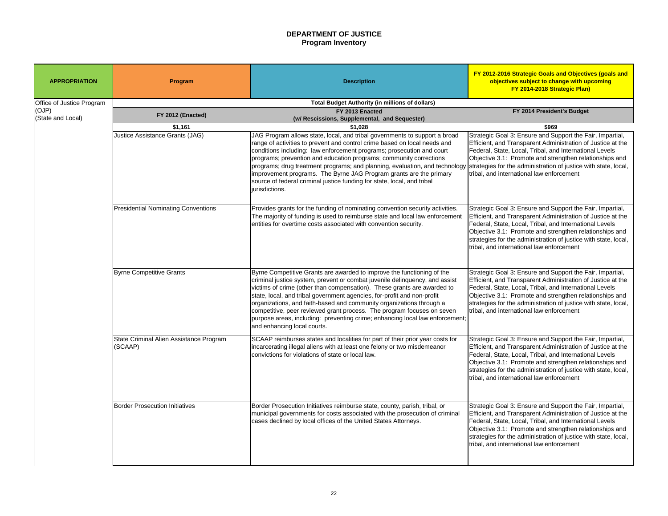# **DEPARTMENT OF JUSTICE Program Inventory**

### **FY 2014 President's Budget**

Strategic Goal 3: Ensure and Support the Fair, Impartial, Efficient, and Transparent Administration of Justice at the Federal, State, Local, Tribal, and International Levels Objective 3.1: Promote and strengthen relationships and strategies for the administration of justice with state, local, tribal, and international law enforcement

Strategic Goal 3: Ensure and Support the Fair, Impartial, Efficient, and Transparent Administration of Justice at the Federal, State, Local, Tribal, and International Levels Objective 3.1: Promote and strengthen relationships and strategies for the administration of justice with state, local, tribal, and international law enforcement

| <b>APPROPRIATION</b>      | <b>Program</b>                                         | <b>Description</b>                                                                                                                                                                                                                                                                                                                                                                                                                                                                                                                                                           | FY 2012-2016 Strategic Goals<br>objectives subject to cha<br>FY 2014-2018 Str                                                                                                                                                 |  |
|---------------------------|--------------------------------------------------------|------------------------------------------------------------------------------------------------------------------------------------------------------------------------------------------------------------------------------------------------------------------------------------------------------------------------------------------------------------------------------------------------------------------------------------------------------------------------------------------------------------------------------------------------------------------------------|-------------------------------------------------------------------------------------------------------------------------------------------------------------------------------------------------------------------------------|--|
| Office of Justice Program | <b>Total Budget Authority (in millions of dollars)</b> |                                                                                                                                                                                                                                                                                                                                                                                                                                                                                                                                                                              |                                                                                                                                                                                                                               |  |
| (OJP)                     | FY 2012 (Enacted)                                      | FY 2013 Enacted                                                                                                                                                                                                                                                                                                                                                                                                                                                                                                                                                              | FY 2014 Preside                                                                                                                                                                                                               |  |
| (State and Local)         | \$1,161                                                | (w/ Rescissions, Supplemental, and Sequester)<br>\$1,028                                                                                                                                                                                                                                                                                                                                                                                                                                                                                                                     | \$969                                                                                                                                                                                                                         |  |
|                           | <b>Justice Assistance Grants (JAG)</b>                 | JAG Program allows state, local, and tribal governments to support a broad<br>range of activities to prevent and control crime based on local needs and<br>conditions including: law enforcement programs; prosecution and court<br>programs; prevention and education programs; community corrections<br>programs; drug treatment programs; and planning, evaluation, and technology<br>improvement programs. The Byrne JAG Program grants are the primary<br>source of federal criminal justice funding for state, local, and tribal<br>jurisdictions.                     | Strategic Goal 3: Ensure and Su<br>Efficient, and Transparent Admi<br>Federal, State, Local, Tribal, an<br>Objective 3.1: Promote and stre<br>strategies for the administration<br>tribal, and international law enfo         |  |
|                           | <b>Presidential Nominating Conventions</b>             | Provides grants for the funding of nominating convention security activities.<br>The majority of funding is used to reimburse state and local law enforcement<br>entities for overtime costs associated with convention security.                                                                                                                                                                                                                                                                                                                                            | Strategic Goal 3: Ensure and Su<br><b>Efficient, and Transparent Admi</b><br>Federal, State, Local, Tribal, and<br>Objective 3.1: Promote and stre<br>strategies for the administration<br>tribal, and international law enfo |  |
|                           | <b>Byrne Competitive Grants</b>                        | Byrne Competitive Grants are awarded to improve the functioning of the<br>criminal justice system, prevent or combat juvenile delinquency, and assist<br>victims of crime (other than compensation). These grants are awarded to<br>state, local, and tribal government agencies, for-profit and non-profit<br>organizations, and faith-based and community organizations through a<br>competitive, peer reviewed grant process. The program focuses on seven<br>purpose areas, including: preventing crime; enhancing local law enforcement;<br>and enhancing local courts. | Strategic Goal 3: Ensure and Su<br><b>Efficient, and Transparent Admi</b><br>Federal, State, Local, Tribal, an<br>Objective 3.1: Promote and stre<br>strategies for the administration<br>tribal, and international law enfo  |  |
|                           | State Criminal Alien Assistance Program<br>(SCAAP)     | SCAAP reimburses states and localities for part of their prior year costs for<br>incarcerating illegal aliens with at least one felony or two misdemeanor<br>convictions for violations of state or local law.                                                                                                                                                                                                                                                                                                                                                               | Strategic Goal 3: Ensure and Su<br><b>Efficient, and Transparent Admi</b><br>Federal, State, Local, Tribal, an<br>Objective 3.1: Promote and stre<br>strategies for the administration<br>tribal, and international law enfo  |  |
|                           | <b>Border Prosecution Initiatives</b>                  | Border Prosecution Initiatives reimburse state, county, parish, tribal, or<br>municipal governments for costs associated with the prosecution of criminal<br>cases declined by local offices of the United States Attorneys.                                                                                                                                                                                                                                                                                                                                                 | Strategic Goal 3: Ensure and Su<br><b>Efficient, and Transparent Admi</b><br>Federal, State, Local, Tribal, and<br>Objective 3.1: Promote and stre<br>strategies for the administration<br>tribal, and international law enfo |  |

Strategic Goal 3: Ensure and Support the Fair, Impartial, Efficient, and Transparent Administration of Justice at the Federal, State, Local, Tribal, and International Levels Objective 3.1: Promote and strengthen relationships and strategies for the administration of justice with state, local, tribal, and international law enforcement

Strategic Goal 3: Ensure and Support the Fair, Impartial, Efficient, and Transparent Administration of Justice at the Federal, State, Local, Tribal, and International Levels Objective 3.1: Promote and strengthen relationships and strategies for the administration of justice with state, local, tribal, and international law enforcement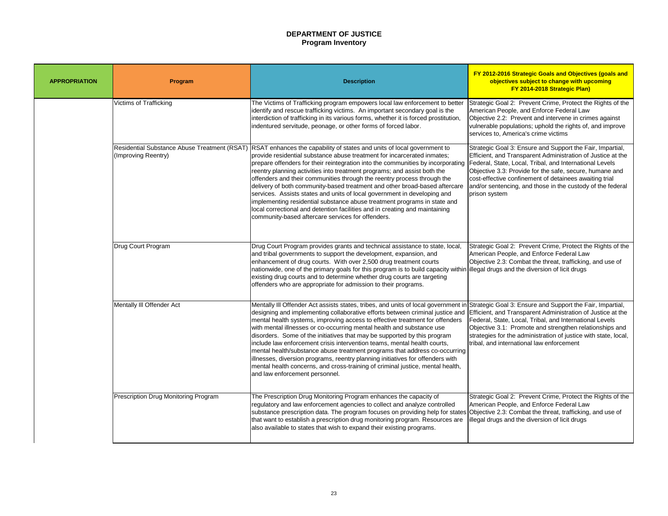# **DEPARTMENT OF JUSTICE Program Inventory**

Strategic Goal 2: Prevent Crime, Protect the Rights of the American People, and Enforce Federal Law Objective 2.2: Prevent and intervene in crimes against vulnerable populations; uphold the rights of, and improve services to, America's crime victims

Strategic Goal 3: Ensure and Support the Fair, Impartial, Efficient, and Transparent Administration of Justice at the Federal, State, Local, Tribal, and International Levels Objective 3.3: Provide for the safe, secure, humane and cost-effective confinement of detainees awaiting trial and/or sentencing, and those in the custody of the federal prison system

| <b>APPROPRIATION</b> | Program                                                             | <b>Description</b>                                                                                                                                                                                                                                                                                                                                                                                                                                                                                                                                                                                                                                                                                                                                                         |
|----------------------|---------------------------------------------------------------------|----------------------------------------------------------------------------------------------------------------------------------------------------------------------------------------------------------------------------------------------------------------------------------------------------------------------------------------------------------------------------------------------------------------------------------------------------------------------------------------------------------------------------------------------------------------------------------------------------------------------------------------------------------------------------------------------------------------------------------------------------------------------------|
|                      | <b>Victims of Trafficking</b>                                       | The Victims of Trafficking program empowers local law enforcement to better<br>identify and rescue trafficking victims. An important secondary goal is the<br>interdiction of trafficking in its various forms, whether it is forced prostitution,<br>indentured servitude, peonage, or other forms of forced labor.                                                                                                                                                                                                                                                                                                                                                                                                                                                       |
|                      | Residential Substance Abuse Treatment (RSAT)<br>(Improving Reentry) | RSAT enhances the capability of states and units of local government to<br>provide residential substance abuse treatment for incarcerated inmates;<br>prepare offenders for their reintegration into the communities by incorporating<br>reentry planning activities into treatment programs; and assist both the<br>offenders and their communities through the reentry process through the<br>delivery of both community-based treatment and other broad-based aftercare<br>services. Assists states and units of local government in developing and<br>implementing residential substance abuse treatment programs in state and<br>local correctional and detention facilities and in creating and maintaining<br>community-based aftercare services for offenders.     |
|                      | <b>Drug Court Program</b>                                           | Drug Court Program provides grants and technical assistance to state, local,<br>and tribal governments to support the development, expansion, and<br>enhancement of drug courts. With over 2,500 drug treatment courts<br> nationwide, one of the primary goals for this program is to build capacity within <br>existing drug courts and to determine whether drug courts are targeting<br>offenders who are appropriate for admission to their programs.                                                                                                                                                                                                                                                                                                                 |
|                      | Mentally III Offender Act                                           | Mentally III Offender Act assists states, tribes, and units of local government in<br>designing and implementing collaborative efforts between criminal justice and<br>mental health systems, improving access to effective treatment for offenders<br>with mental illnesses or co-occurring mental health and substance use<br>disorders. Some of the initiatives that may be supported by this program<br>include law enforcement crisis intervention teams, mental health courts,<br> mental health/substance abuse treatment programs that address co-occurring<br>lillnesses, diversion programs, reentry planning initiatives for offenders with<br>mental health concerns, and cross-training of criminal justice, mental health,<br>and law enforcement personnel. |
|                      | <b>Prescription Drug Monitoring Program</b>                         | The Prescription Drug Monitoring Program enhances the capacity of<br>regulatory and law enforcement agencies to collect and analyze controlled<br>substance prescription data. The program focuses on providing help for states<br>that want to establish a prescription drug monitoring program. Resources are<br>also available to states that wish to expand their existing programs.                                                                                                                                                                                                                                                                                                                                                                                   |

Strategic Goal 2: Prevent Crime, Protect the Rights of the American People, and Enforce Federal Law Objective 2.3: Combat the threat, trafficking, and use of illegal drugs and the diversion of licit drugs

Strategic Goal 3: Ensure and Support the Fair, Impartial, Efficient, and Transparent Administration of Justice at the Federal, State, Local, Tribal, and International Levels Objective 3.1: Promote and strengthen relationships and strategies for the administration of justice with state, local, tribal, and international law enforcement

Strategic Goal 2: Prevent Crime, Protect the Rights of the American People, and Enforce Federal Law Objective 2.3: Combat the threat, trafficking, and use of illegal drugs and the diversion of licit drugs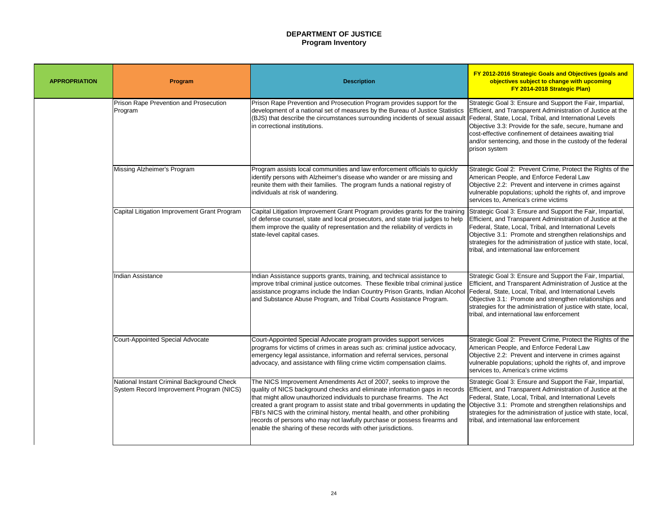# **DEPARTMENT OF JUSTICE Program Inventory**

Strategic Goal 3: Ensure and Support the Fair, Impartial, Efficient, and Transparent Administration of Justice at the Federal, State, Local, Tribal, and International Levels Objective 3.3: Provide for the safe, secure, humane and cost-effective confinement of detainees awaiting trial and/or sentencing, and those in the custody of the federal prison system

Strategic Goal 2: Prevent Crime, Protect the Rights of the American People, and Enforce Federal Law Objective 2.2: Prevent and intervene in crimes against vulnerable populations; uphold the rights of, and improve services to, America's crime victims

Strategic Goal 3: Ensure and Support the Fair, Impartial, Efficient, and Transparent Administration of Justice at the Federal, State, Local, Tribal, and International Levels Objective 3.1: Promote and strengthen relationships and strategies for the administration of justice with state, local, tribal, and international law enforcement

| <b>APPROPRIATION</b> | Program                                                                                | <b>Description</b>                                                                                                                                                                                                                                                                                                                                                                                                                                                                                                                       |
|----------------------|----------------------------------------------------------------------------------------|------------------------------------------------------------------------------------------------------------------------------------------------------------------------------------------------------------------------------------------------------------------------------------------------------------------------------------------------------------------------------------------------------------------------------------------------------------------------------------------------------------------------------------------|
|                      | Prison Rape Prevention and Prosecution<br>Program                                      | Prison Rape Prevention and Prosecution Program provides support for the<br>development of a national set of measures by the Bureau of Justice Statistics<br>(BJS) that describe the circumstances surrounding incidents of sexual assault<br>in correctional institutions.                                                                                                                                                                                                                                                               |
|                      | Missing Alzheimer's Program                                                            | Program assists local communities and law enforcement officials to quickly<br>identify persons with Alzheimer's disease who wander or are missing and<br>reunite them with their families. The program funds a national registry of<br>individuals at risk of wandering.                                                                                                                                                                                                                                                                 |
|                      | Capital Litigation Improvement Grant Program                                           | Capital Litigation Improvement Grant Program provides grants for the training<br>of defense counsel, state and local prosecutors, and state trial judges to help<br>them improve the quality of representation and the reliability of verdicts in<br>state-level capital cases.                                                                                                                                                                                                                                                          |
|                      | <b>Indian Assistance</b>                                                               | Indian Assistance supports grants, training, and technical assistance to<br>improve tribal criminal justice outcomes. These flexible tribal criminal justice<br> assistance programs include the Indian Country Prison Grants, Indian Alcohol  <br>and Substance Abuse Program, and Tribal Courts Assistance Program.                                                                                                                                                                                                                    |
|                      | <b>Court-Appointed Special Advocate</b>                                                | Court-Appointed Special Advocate program provides support services<br>programs for victims of crimes in areas such as: criminal justice advocacy,<br>emergency legal assistance, information and referral services, personal<br>advocacy, and assistance with filing crime victim compensation claims.                                                                                                                                                                                                                                   |
|                      | National Instant Criminal Background Check<br>System Record Improvement Program (NICS) | The NICS Improvement Amendments Act of 2007, seeks to improve the<br>quality of NICS background checks and eliminate information gaps in records<br>that might allow unauthorized individuals to purchase firearms. The Act<br>created a grant program to assist state and tribal governments in updating the<br>FBI's NICS with the criminal history, mental health, and other prohibiting<br>records of persons who may not lawfully purchase or possess firearms and<br>enable the sharing of these records with other jurisdictions. |

Strategic Goal 3: Ensure and Support the Fair, Impartial, Efficient, and Transparent Administration of Justice at the Federal, State, Local, Tribal, and International Levels Objective 3.1: Promote and strengthen relationships and strategies for the administration of justice with state, local, tribal, and international law enforcement

Strategic Goal 2: Prevent Crime, Protect the Rights of the American People, and Enforce Federal Law Objective 2.2: Prevent and intervene in crimes against vulnerable populations; uphold the rights of, and improve services to, America's crime victims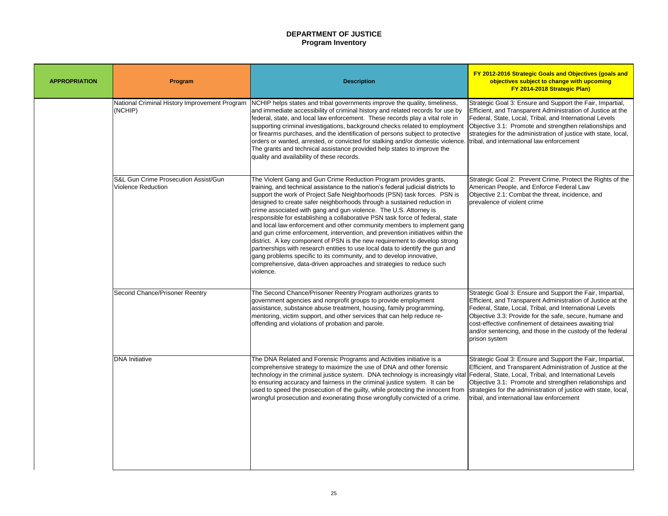# **DEPARTMENT OF JUSTICE Program Inventory**

Strategic Goal 3: Ensure and Support the Fair, Impartial, Efficient, and Transparent Administration of Justice at the Federal, State, Local, Tribal, and International Levels Objective 3.1: Promote and strengthen relationships and strategies for the administration of justice with state, local, tribal, and international law enforcement

| <b>APPROPRIATION</b> | <b>Program</b>                                                               | <b>Description</b>                                                                                                                                                                                                                                                                                                                                                                                                                                                                                                                                                                                                                                                                                                                                                                                                                                                                                                                                       |
|----------------------|------------------------------------------------------------------------------|----------------------------------------------------------------------------------------------------------------------------------------------------------------------------------------------------------------------------------------------------------------------------------------------------------------------------------------------------------------------------------------------------------------------------------------------------------------------------------------------------------------------------------------------------------------------------------------------------------------------------------------------------------------------------------------------------------------------------------------------------------------------------------------------------------------------------------------------------------------------------------------------------------------------------------------------------------|
|                      | National Criminal History Improvement Program<br>(NCHIP)                     | NCHIP helps states and tribal governments improve the quality, timeliness,<br>and immediate accessibility of criminal history and related records for use by<br>federal, state, and local law enforcement. These records play a vital role in<br>supporting criminal investigations, background checks related to employment<br>or firearms purchases, and the identification of persons subject to protective<br>orders or wanted, arrested, or convicted for stalking and/or domestic violence.<br>The grants and technical assistance provided help states to improve the<br>quality and availability of these records.                                                                                                                                                                                                                                                                                                                               |
|                      | <b>S&amp;L Gun Crime Prosecution Assist/Gun</b><br><b>Violence Reduction</b> | The Violent Gang and Gun Crime Reduction Program provides grants,<br>training, and technical assistance to the nation's federal judicial districts to<br>support the work of Project Safe Neighborhoods (PSN) task forces. PSN is<br>designed to create safer neighborhoods through a sustained reduction in<br>crime associated with gang and gun violence. The U.S. Attorney is<br>responsible for establishing a collaborative PSN task force of federal, state<br>and local law enforcement and other community members to implement gang<br>and gun crime enforcement, intervention, and prevention initiatives within the<br>district. A key component of PSN is the new requirement to develop strong<br>partnerships with research entities to use local data to identify the gun and<br>gang problems specific to its community, and to develop innovative,<br>comprehensive, data-driven approaches and strategies to reduce such<br>violence. |
|                      | <b>Second Chance/Prisoner Reentry</b>                                        | The Second Chance/Prisoner Reentry Program authorizes grants to<br>government agencies and nonprofit groups to provide employment<br>assistance, substance abuse treatment, housing, family programming,<br>Imentoring, victim support, and other services that can help reduce re-<br>offending and violations of probation and parole.                                                                                                                                                                                                                                                                                                                                                                                                                                                                                                                                                                                                                 |
|                      | <b>DNA</b> Initiative                                                        | The DNA Related and Forensic Programs and Activities initiative is a<br>comprehensive strategy to maximize the use of DNA and other forensic<br> technology in the criminal justice system. DNA technology is increasingly vital  <br>to ensuring accuracy and fairness in the criminal justice system. It can be<br>used to speed the prosecution of the guilty, while protecting the innocent from<br>wrongful prosecution and exonerating those wrongfully convicted of a crime.                                                                                                                                                                                                                                                                                                                                                                                                                                                                      |

Strategic Goal 2: Prevent Crime, Protect the Rights of the American People, and Enforce Federal Law Objective 2.1: Combat the threat, incidence, and prevalence of violent crime

Strategic Goal 3: Ensure and Support the Fair, Impartial, Efficient, and Transparent Administration of Justice at the Federal, State, Local, Tribal, and International Levels Objective 3.3: Provide for the safe, secure, humane and cost-effective confinement of detainees awaiting trial and/or sentencing, and those in the custody of the federal prison system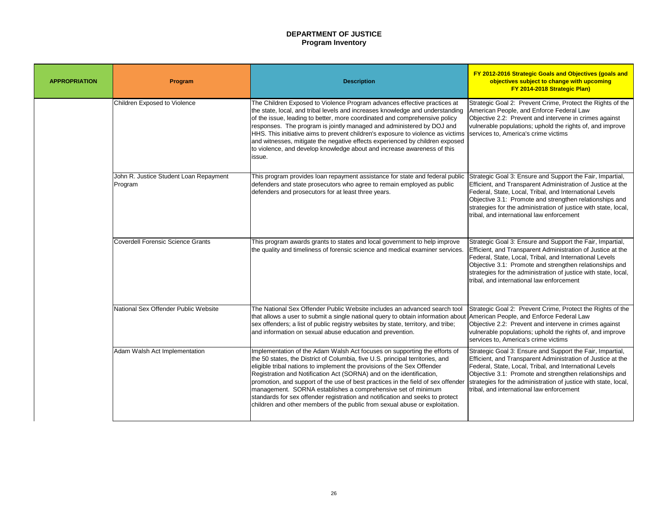# **DEPARTMENT OF JUSTICE Program Inventory**

Strategic Goal 2: Prevent Crime, Protect the Rights of the American People, and Enforce Federal Law Objective 2.2: Prevent and intervene in crimes against vulnerable populations; uphold the rights of, and improve services to, America's crime victims

Strategic Goal 3: Ensure and Support the Fair, Impartial, Efficient, and Transparent Administration of Justice at the Federal, State, Local, Tribal, and International Levels Objective 3.1: Promote and strengthen relationships and strategies for the administration of justice with state, local, tribal, and international law enforcement

| <b>APPROPRIATION</b> | <b>Program</b>                                    | <b>Description</b>                                                                                                                                                                                                                                                                                                                                                                                                                                                                                                                                                                                                                |
|----------------------|---------------------------------------------------|-----------------------------------------------------------------------------------------------------------------------------------------------------------------------------------------------------------------------------------------------------------------------------------------------------------------------------------------------------------------------------------------------------------------------------------------------------------------------------------------------------------------------------------------------------------------------------------------------------------------------------------|
|                      | <b>Children Exposed to Violence</b>               | The Children Exposed to Violence Program advances effective practices at<br>the state, local, and tribal levels and increases knowledge and understanding<br>of the issue, leading to better, more coordinated and comprehensive policy<br>responses. The program is jointly managed and administered by DOJ and<br>HHS. This initiative aims to prevent children's exposure to violence as victims<br>and witnesses, mitigate the negative effects experienced by children exposed<br>to violence, and develop knowledge about and increase awareness of this<br>issue.                                                          |
|                      | John R. Justice Student Loan Repayment<br>Program | This program provides loan repayment assistance for state and federal public<br>defenders and state prosecutors who agree to remain employed as public<br>defenders and prosecutors for at least three years.                                                                                                                                                                                                                                                                                                                                                                                                                     |
|                      | <b>Coverdell Forensic Science Grants</b>          | This program awards grants to states and local government to help improve<br>the quality and timeliness of forensic science and medical examiner services.                                                                                                                                                                                                                                                                                                                                                                                                                                                                        |
|                      | National Sex Offender Public Website              | The National Sex Offender Public Website includes an advanced search tool<br>that allows a user to submit a single national query to obtain information about<br>sex offenders; a list of public registry websites by state, territory, and tribe;<br>and information on sexual abuse education and prevention.                                                                                                                                                                                                                                                                                                                   |
|                      | Adam Walsh Act Implementation                     | Implementation of the Adam Walsh Act focuses on supporting the efforts of<br>the 50 states, the District of Columbia, five U.S. principal territories, and<br>eligible tribal nations to implement the provisions of the Sex Offender<br>Registration and Notification Act (SORNA) and on the identification,<br>promotion, and support of the use of best practices in the field of sex offender<br>management. SORNA establishes a comprehensive set of minimum<br>standards for sex offender registration and notification and seeks to protect<br>children and other members of the public from sexual abuse or exploitation. |

Strategic Goal 3: Ensure and Support the Fair, Impartial, Efficient, and Transparent Administration of Justice at the Federal, State, Local, Tribal, and International Levels Objective 3.1: Promote and strengthen relationships and strategies for the administration of justice with state, local, tribal, and international law enforcement

Strategic Goal 2: Prevent Crime, Protect the Rights of the American People, and Enforce Federal Law Objective 2.2: Prevent and intervene in crimes against vulnerable populations; uphold the rights of, and improve services to, America's crime victims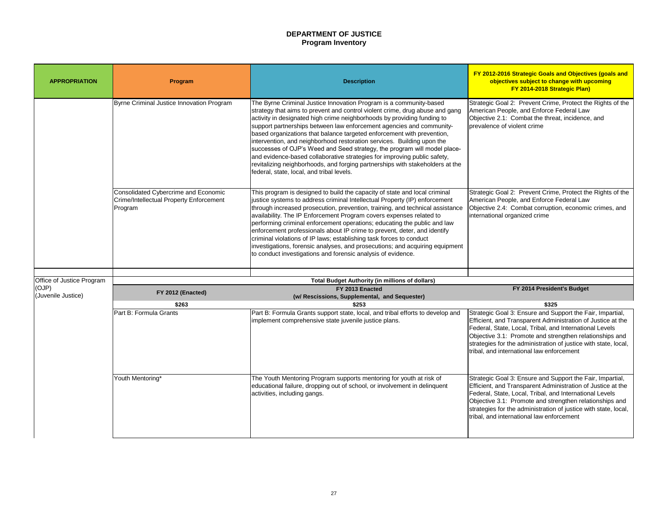# **DEPARTMENT OF JUSTICE Program Inventory**

Strategic Goal 2: Prevent Crime, Protect the Rights of the American People, and Enforce Federal Law Objective 2.1: Combat the threat, incidence, and prevalence of violent crime

| <b>APPROPRIATION</b>       | <b>Program</b>                                                                                    | <b>Description</b>                                                                                                                                                                                                                                                                                                                                                                                                                                                                                                                                                                                                                                                                                                                              | <b>FY 2012-2016 Strategic Goals</b><br>objectives subject to cha<br>FY 2014-2018 Str                                                                                                                                          |  |
|----------------------------|---------------------------------------------------------------------------------------------------|-------------------------------------------------------------------------------------------------------------------------------------------------------------------------------------------------------------------------------------------------------------------------------------------------------------------------------------------------------------------------------------------------------------------------------------------------------------------------------------------------------------------------------------------------------------------------------------------------------------------------------------------------------------------------------------------------------------------------------------------------|-------------------------------------------------------------------------------------------------------------------------------------------------------------------------------------------------------------------------------|--|
|                            | Byrne Criminal Justice Innovation Program                                                         | The Byrne Criminal Justice Innovation Program is a community-based<br>strategy that aims to prevent and control violent crime, drug abuse and gang<br>activity in designated high crime neighborhoods by providing funding to<br>support partnerships between law enforcement agencies and community-<br>based organizations that balance targeted enforcement with prevention,<br>intervention, and neighborhood restoration services. Building upon the<br>successes of OJP's Weed and Seed strategy, the program will model place-<br>and evidence-based collaborative strategies for improving public safety,<br>revitalizing neighborhoods, and forging partnerships with stakeholders at the<br>federal, state, local, and tribal levels. | Strategic Goal 2: Prevent Crime<br>American People, and Enforce I<br>Objective 2.1: Combat the threa<br>prevalence of violent crime                                                                                           |  |
|                            | <b>Consolidated Cybercrime and Economic</b><br>Crime/Intellectual Property Enforcement<br>Program | This program is designed to build the capacity of state and local criminal<br>justice systems to address criminal Intellectual Property (IP) enforcement<br>through increased prosecution, prevention, training, and technical assistance<br>availability. The IP Enforcement Program covers expenses related to<br>performing criminal enforcement operations; educating the public and law<br>enforcement professionals about IP crime to prevent, deter, and identify<br>criminal violations of IP laws; establishing task forces to conduct<br>investigations, forensic analyses, and prosecutions; and acquiring equipment<br>to conduct investigations and forensic analysis of evidence.                                                 | Strategic Goal 2: Prevent Crime<br>American People, and Enforce I<br>Objective 2.4: Combat corruption<br>international organized crime                                                                                        |  |
| Office of Justice Program  | <b>Total Budget Authority (in millions of dollars)</b>                                            |                                                                                                                                                                                                                                                                                                                                                                                                                                                                                                                                                                                                                                                                                                                                                 |                                                                                                                                                                                                                               |  |
| (OJP)<br>Juvenile Justice) | FY 2012 (Enacted)                                                                                 | FY 2013 Enacted<br>(w/ Rescissions, Supplemental, and Sequester)                                                                                                                                                                                                                                                                                                                                                                                                                                                                                                                                                                                                                                                                                | FY 2014 Preside                                                                                                                                                                                                               |  |
|                            | \$263                                                                                             | \$253                                                                                                                                                                                                                                                                                                                                                                                                                                                                                                                                                                                                                                                                                                                                           | \$325                                                                                                                                                                                                                         |  |
|                            | Part B: Formula Grants                                                                            | Part B: Formula Grants support state, local, and tribal efforts to develop and<br>implement comprehensive state juvenile justice plans.                                                                                                                                                                                                                                                                                                                                                                                                                                                                                                                                                                                                         | Strategic Goal 3: Ensure and Su<br><b>Efficient, and Transparent Admi</b><br>Federal, State, Local, Tribal, and<br>Objective 3.1: Promote and stre<br>strategies for the administration<br>tribal, and international law enfo |  |
|                            | Youth Mentoring*                                                                                  | The Youth Mentoring Program supports mentoring for youth at risk of<br>educational failure, dropping out of school, or involvement in delinquent<br>activities, including gangs.                                                                                                                                                                                                                                                                                                                                                                                                                                                                                                                                                                | Strategic Goal 3: Ensure and Su<br>Efficient, and Transparent Admi<br>Federal, State, Local, Tribal, an<br>Objective 3.1: Promote and stre<br>strategies for the administration<br>tribal, and international law enfo         |  |

Strategic Goal 2: Prevent Crime, Protect the Rights of the American People, and Enforce Federal Law Objective 2.4: Combat corruption, economic crimes, and international organized crime

### **FY 2014 President's Budget**

Strategic Goal 3: Ensure and Support the Fair, Impartial, Efficient, and Transparent Administration of Justice at the Federal, State, Local, Tribal, and International Levels Objective 3.1: Promote and strengthen relationships and strategies for the administration of justice with state, local, tribal, and international law enforcement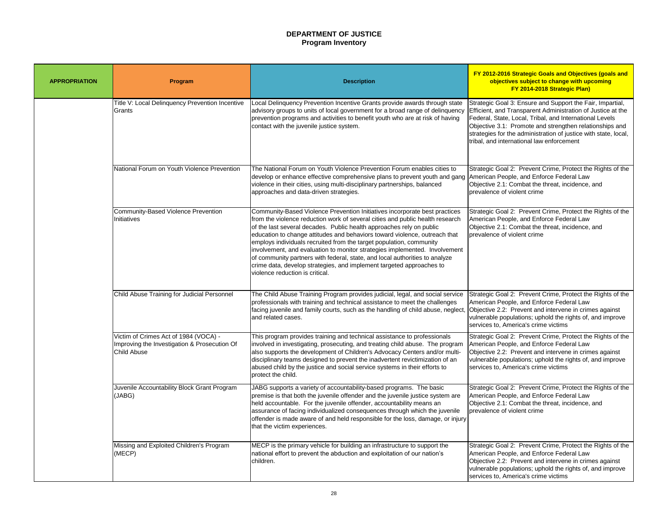# **DEPARTMENT OF JUSTICE Program Inventory**

Strategic Goal 3: Ensure and Support the Fair, Impartial, Efficient, and Transparent Administration of Justice at the Federal, State, Local, Tribal, and International Levels Objective 3.1: Promote and strengthen relationships and strategies for the administration of justice with state, local, tribal, and international law enforcement

Strategic Goal 2: Prevent Crime, Protect the Rights of the American People, and Enforce Federal Law Objective 2.1: Combat the threat, incidence, and prevalence of violent crime

Strategic Goal 2: Prevent Crime, Protect the Rights of the American People, and Enforce Federal Law Objective 2.1: Combat the threat, incidence, and prevalence of violent crime

| <b>APPROPRIATION</b> | Program                                                                                                     | <b>Description</b>                                                                                                                                                                                                                                                                                                                                                                                                                                                                                                                                                                                                                                               |
|----------------------|-------------------------------------------------------------------------------------------------------------|------------------------------------------------------------------------------------------------------------------------------------------------------------------------------------------------------------------------------------------------------------------------------------------------------------------------------------------------------------------------------------------------------------------------------------------------------------------------------------------------------------------------------------------------------------------------------------------------------------------------------------------------------------------|
|                      | Title V: Local Delinquency Prevention Incentive<br>Grants                                                   | Local Delinquency Prevention Incentive Grants provide awards through state<br>advisory groups to units of local government for a broad range of delinquency<br>prevention programs and activities to benefit youth who are at risk of having<br>contact with the juvenile justice system.                                                                                                                                                                                                                                                                                                                                                                        |
|                      | National Forum on Youth Violence Prevention                                                                 | The National Forum on Youth Violence Prevention Forum enables cities to<br>develop or enhance effective comprehensive plans to prevent youth and gang<br>violence in their cities, using multi-disciplinary partnerships, balanced<br>approaches and data-driven strategies.                                                                                                                                                                                                                                                                                                                                                                                     |
|                      | <b>Community-Based Violence Prevention</b><br>Initiatives                                                   | Community-Based Violence Prevention Initiatives incorporate best practices<br>from the violence reduction work of several cities and public health research<br>of the last several decades. Public health approaches rely on public<br>education to change attitudes and behaviors toward violence, outreach that<br>employs individuals recruited from the target population, community<br>involvement, and evaluation to monitor strategies implemented. Involvement<br>of community partners with federal, state, and local authorities to analyze<br>crime data, develop strategies, and implement targeted approaches to<br>violence reduction is critical. |
|                      | <b>Child Abuse Training for Judicial Personnel</b>                                                          | The Child Abuse Training Program provides judicial, legal, and social service<br>professionals with training and technical assistance to meet the challenges<br>facing juvenile and family courts, such as the handling of child abuse, neglect,<br>and related cases.                                                                                                                                                                                                                                                                                                                                                                                           |
|                      | Victim of Crimes Act of 1984 (VOCA) -<br>Improving the Investigation & Prosecution Of<br><b>Child Abuse</b> | This program provides training and technical assistance to professionals<br>involved in investigating, prosecuting, and treating child abuse. The program<br>also supports the development of Children's Advocacy Centers and/or multi-<br>disciplinary teams designed to prevent the inadvertent revictimization of an<br>abused child by the justice and social service systems in their efforts to<br>protect the child.                                                                                                                                                                                                                                      |
|                      | Juvenile Accountability Block Grant Program<br>(JABG)                                                       | JABG supports a variety of accountability-based programs. The basic<br>premise is that both the juvenile offender and the juvenile justice system are<br>held accountable. For the juvenile offender, accountability means an<br>assurance of facing individualized consequences through which the juvenile<br>offender is made aware of and held responsible for the loss, damage, or injury<br>that the victim experiences.                                                                                                                                                                                                                                    |
|                      | Missing and Exploited Children's Program<br>(MECP)                                                          | MECP is the primary vehicle for building an infrastructure to support the<br>national effort to prevent the abduction and exploitation of our nation's<br>children.                                                                                                                                                                                                                                                                                                                                                                                                                                                                                              |

Strategic Goal 2: Prevent Crime, Protect the Rights of the American People, and Enforce Federal Law Objective 2.2: Prevent and intervene in crimes against vulnerable populations; uphold the rights of, and improve services to, America's crime victims

Strategic Goal 2: Prevent Crime, Protect the Rights of the American People, and Enforce Federal Law Objective 2.2: Prevent and intervene in crimes against vulnerable populations; uphold the rights of, and improve services to, America's crime victims

Strategic Goal 2: Prevent Crime, Protect the Rights of the American People, and Enforce Federal Law Objective 2.1: Combat the threat, incidence, and prevalence of violent crime

Strategic Goal 2: Prevent Crime, Protect the Rights of the American People, and Enforce Federal Law Objective 2.2: Prevent and intervene in crimes against vulnerable populations; uphold the rights of, and improve services to, America's crime victims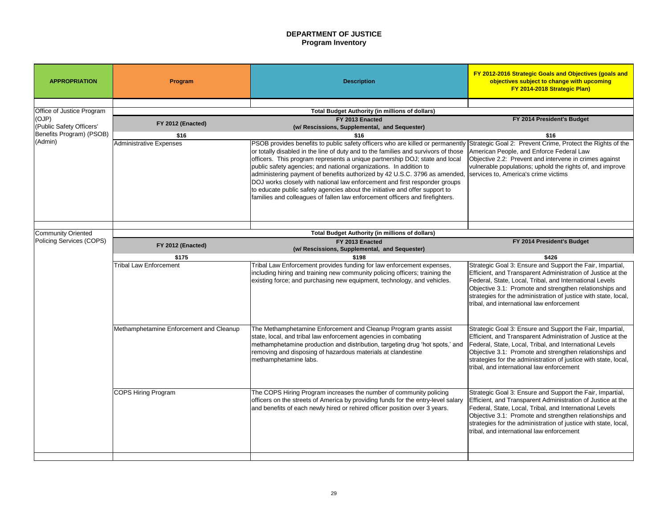# **DEPARTMENT OF JUSTICE Program Inventory**

# **FY 2014 President's Budget**

Strategic Goal 2: Prevent Crime, Protect the Rights of the American People, and Enforce Federal Law Objective 2.2: Prevent and intervene in crimes against vulnerable populations; uphold the rights of, and improve services to, America's crime victims

### **FY 2014 President's Budget**

| <b>APPROPRIATION</b>                                  | Program                                                                                      | <b>Description</b>                                                                                                                                                                                                                                                                                                                                                                                                                                                                                                                                                                                                                                                                                                            | FY 2012-2016 Strategic Goals<br>objectives subject to cha<br>FY 2014-2018 Str                                                                                                                                                 |  |
|-------------------------------------------------------|----------------------------------------------------------------------------------------------|-------------------------------------------------------------------------------------------------------------------------------------------------------------------------------------------------------------------------------------------------------------------------------------------------------------------------------------------------------------------------------------------------------------------------------------------------------------------------------------------------------------------------------------------------------------------------------------------------------------------------------------------------------------------------------------------------------------------------------|-------------------------------------------------------------------------------------------------------------------------------------------------------------------------------------------------------------------------------|--|
| Office of Justice Program                             |                                                                                              | <b>Total Budget Authority (in millions of dollars)</b>                                                                                                                                                                                                                                                                                                                                                                                                                                                                                                                                                                                                                                                                        |                                                                                                                                                                                                                               |  |
| (OJP)                                                 | FY 2012 (Enacted)                                                                            | FY 2013 Enacted                                                                                                                                                                                                                                                                                                                                                                                                                                                                                                                                                                                                                                                                                                               | FY 2014 Preside                                                                                                                                                                                                               |  |
| (Public Safety Officers'                              |                                                                                              | (w/ Rescissions, Supplemental, and Sequester)                                                                                                                                                                                                                                                                                                                                                                                                                                                                                                                                                                                                                                                                                 |                                                                                                                                                                                                                               |  |
| Benefits Program) (PSOB)<br>(Admin)                   | \$16<br>Administrative Expenses                                                              | \$16<br>PSOB provides benefits to public safety officers who are killed or permanently Strategic Goal 2: Prevent Crime<br>or totally disabled in the line of duty and to the families and survivors of those<br>officers. This program represents a unique partnership DOJ; state and local<br>public safety agencies; and national organizations. In addition to<br>administering payment of benefits authorized by 42 U.S.C. 3796 as amended, Services to, America's crime vic<br>DOJ works closely with national law enforcement and first responder groups<br>to educate public safety agencies about the initiative and offer support to<br>families and colleagues of fallen law enforcement officers and firefighters. | \$16<br>American People, and Enforce I<br>Objective 2.2: Prevent and inter<br>vulnerable populations; uphold t                                                                                                                |  |
|                                                       |                                                                                              |                                                                                                                                                                                                                                                                                                                                                                                                                                                                                                                                                                                                                                                                                                                               |                                                                                                                                                                                                                               |  |
| <b>Community Oriented</b><br>Policing Services (COPS) | <b>Total Budget Authority (in millions of dollars)</b><br>FY 2014 Preside<br>FY 2013 Enacted |                                                                                                                                                                                                                                                                                                                                                                                                                                                                                                                                                                                                                                                                                                                               |                                                                                                                                                                                                                               |  |
|                                                       | FY 2012 (Enacted)                                                                            | (w/ Rescissions, Supplemental, and Sequester)                                                                                                                                                                                                                                                                                                                                                                                                                                                                                                                                                                                                                                                                                 |                                                                                                                                                                                                                               |  |
|                                                       | \$175                                                                                        | \$198                                                                                                                                                                                                                                                                                                                                                                                                                                                                                                                                                                                                                                                                                                                         | \$426                                                                                                                                                                                                                         |  |
|                                                       | <b>Tribal Law Enforcement</b>                                                                | Tribal Law Enforcement provides funding for law enforcement expenses,<br>including hiring and training new community policing officers; training the<br>existing force; and purchasing new equipment, technology, and vehicles.                                                                                                                                                                                                                                                                                                                                                                                                                                                                                               | Strategic Goal 3: Ensure and Su<br><b>Efficient, and Transparent Admi</b><br>Federal, State, Local, Tribal, and<br>Objective 3.1: Promote and stre<br>strategies for the administration<br>tribal, and international law enfo |  |
|                                                       | Methamphetamine Enforcement and Cleanup                                                      | The Methamphetamine Enforcement and Cleanup Program grants assist<br>state, local, and tribal law enforcement agencies in combating<br>methamphetamine production and distribution, targeting drug 'hot spots,' and<br>removing and disposing of hazardous materials at clandestine<br>methamphetamine labs.                                                                                                                                                                                                                                                                                                                                                                                                                  | Strategic Goal 3: Ensure and Su<br><b>Efficient, and Transparent Admi</b><br>Federal, State, Local, Tribal, and<br>Objective 3.1: Promote and stre<br>strategies for the administration<br>tribal, and international law enfo |  |
|                                                       | COPS Hiring Program                                                                          | The COPS Hiring Program increases the number of community policing<br>officers on the streets of America by providing funds for the entry-level salary<br>and benefits of each newly hired or rehired officer position over 3 years.                                                                                                                                                                                                                                                                                                                                                                                                                                                                                          | Strategic Goal 3: Ensure and Su<br><b>Efficient, and Transparent Admi</b><br>Federal, State, Local, Tribal, an<br>Objective 3.1: Promote and stre<br>strategies for the administration<br>tribal, and international law enfo  |  |

Strategic Goal 3: Ensure and Support the Fair, Impartial, Efficient, and Transparent Administration of Justice at the Federal, State, Local, Tribal, and International Levels Objective 3.1: Promote and strengthen relationships and strategies for the administration of justice with state, local, tribal, and international law enforcement

Strategic Goal 3: Ensure and Support the Fair, Impartial, Efficient, and Transparent Administration of Justice at the Federal, State, Local, Tribal, and International Levels Objective 3.1: Promote and strengthen relationships and strategies for the administration of justice with state, local, tribal, and international law enforcement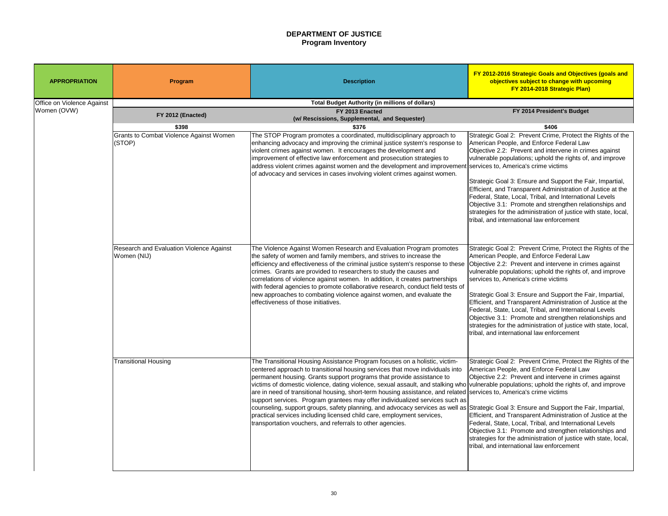# **FY 2012-2016 Strategic Goals and Objectives (goals and**

# **DEPARTMENT OF JUSTICE Program Inventory**

| <b>APPROPRIATION</b>              | Program                                                      | <b>Description</b>                                                                                                                                                                                                                                                                                                                                                                                                                                                                                                                                                                                                                                                                                                                                                                                                                                                          | FY 2012-2016 Strategic Goals and Objectives (goals and<br>objectives subject to change with upcoming<br>FY 2014-2018 Strategic Plan)                                                                                                                                                                                                                                                                                                                                                                                                                                                                                                    |
|-----------------------------------|--------------------------------------------------------------|-----------------------------------------------------------------------------------------------------------------------------------------------------------------------------------------------------------------------------------------------------------------------------------------------------------------------------------------------------------------------------------------------------------------------------------------------------------------------------------------------------------------------------------------------------------------------------------------------------------------------------------------------------------------------------------------------------------------------------------------------------------------------------------------------------------------------------------------------------------------------------|-----------------------------------------------------------------------------------------------------------------------------------------------------------------------------------------------------------------------------------------------------------------------------------------------------------------------------------------------------------------------------------------------------------------------------------------------------------------------------------------------------------------------------------------------------------------------------------------------------------------------------------------|
| <b>Office on Violence Against</b> |                                                              | <b>Total Budget Authority (in millions of dollars)</b>                                                                                                                                                                                                                                                                                                                                                                                                                                                                                                                                                                                                                                                                                                                                                                                                                      |                                                                                                                                                                                                                                                                                                                                                                                                                                                                                                                                                                                                                                         |
| Women (OVW)                       | FY 2012 (Enacted)                                            | FY 2013 Enacted<br>(w/ Rescissions, Supplemental, and Sequester)                                                                                                                                                                                                                                                                                                                                                                                                                                                                                                                                                                                                                                                                                                                                                                                                            | FY 2014 President's Budget                                                                                                                                                                                                                                                                                                                                                                                                                                                                                                                                                                                                              |
|                                   | \$398<br>Grants to Combat Violence Against Women<br>  (STOP) | \$376<br>The STOP Program promotes a coordinated, multidisciplinary approach to<br>enhancing advocacy and improving the criminal justice system's response to<br>violent crimes against women. It encourages the development and<br>improvement of effective law enforcement and prosecution strategies to<br>address violent crimes against women and the development and improvement services to, America's crime victims<br>of advocacy and services in cases involving violent crimes against women.                                                                                                                                                                                                                                                                                                                                                                    | \$406<br>Strategic Goal 2: Prevent Crime, Protect the Rights of the<br>American People, and Enforce Federal Law<br>Objective 2.2: Prevent and intervene in crimes against<br>vulnerable populations; uphold the rights of, and improve<br>Strategic Goal 3: Ensure and Support the Fair, Impartial,<br>Efficient, and Transparent Administration of Justice at the<br>Federal, State, Local, Tribal, and International Levels<br>Objective 3.1: Promote and strengthen relationships and<br>strategies for the administration of justice with state, local,<br>tribal, and international law enforcement                                |
|                                   | Research and Evaluation Violence Against<br>Women (NIJ)      | The Violence Against Women Research and Evaluation Program promotes<br>the safety of women and family members, and strives to increase the<br>efficiency and effectiveness of the criminal justice system's response to these<br>crimes. Grants are provided to researchers to study the causes and<br>correlations of violence against women. In addition, it creates partnerships<br>with federal agencies to promote collaborative research, conduct field tests of<br>new approaches to combating violence against women, and evaluate the<br>effectiveness of those initiatives.                                                                                                                                                                                                                                                                                       | Strategic Goal 2: Prevent Crime, Protect the Rights of the<br>American People, and Enforce Federal Law<br>Objective 2.2: Prevent and intervene in crimes against<br>vulnerable populations; uphold the rights of, and improve<br>services to, America's crime victims<br>Strategic Goal 3: Ensure and Support the Fair, Impartial,<br>Efficient, and Transparent Administration of Justice at the<br>Federal, State, Local, Tribal, and International Levels<br>Objective 3.1: Promote and strengthen relationships and<br>strategies for the administration of justice with state, local,<br>tribal, and international law enforcement |
|                                   | <b>Transitional Housing</b>                                  | The Transitional Housing Assistance Program focuses on a holistic, victim-<br>centered approach to transitional housing services that move individuals into<br>permanent housing. Grants support programs that provide assistance to<br>victims of domestic violence, dating violence, sexual assault, and stalking who vulnerable populations; uphold the rights of, and improve<br>are in need of transitional housing, short-term housing assistance, and related Services to, America's crime victims<br>support services. Program grantees may offer individualized services such as<br>counseling, support groups, safety planning, and advocacy services as well as Strategic Goal 3: Ensure and Support the Fair, Impartial,<br>practical services including licensed child care, employment services,<br>transportation vouchers, and referrals to other agencies. | Strategic Goal 2: Prevent Crime, Protect the Rights of the<br>American People, and Enforce Federal Law<br>Objective 2.2: Prevent and intervene in crimes against<br>Efficient, and Transparent Administration of Justice at the<br>Federal, State, Local, Tribal, and International Levels<br>Objective 3.1: Promote and strengthen relationships and<br>strategies for the administration of justice with state, local,<br>tribal, and international law enforcement                                                                                                                                                                   |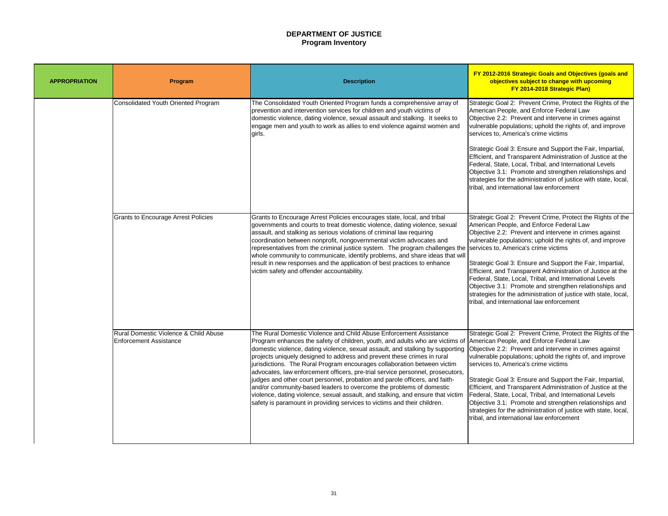# **DEPARTMENT OF JUSTICE Program Inventory**

Strategic Goal 2: Prevent Crime, Protect the Rights of the American People, and Enforce Federal Law Objective 2.2: Prevent and intervene in crimes against vulnerable populations; uphold the rights of, and improve services to, America's crime victims

Strategic Goal 3: Ensure and Support the Fair, Impartial, Efficient, and Transparent Administration of Justice at the Federal, State, Local, Tribal, and International Levels Objective 3.1: Promote and strengthen relationships and strategies for the administration of justice with state, local, tribal, and international law enforcement

| <b>APPROPRIATION</b> | Program                                                                           | <b>Description</b>                                                                                                                                                                                                                                                                                                                                                                                                                                                                                                                                                                                                                                                                                                                                                                                  |
|----------------------|-----------------------------------------------------------------------------------|-----------------------------------------------------------------------------------------------------------------------------------------------------------------------------------------------------------------------------------------------------------------------------------------------------------------------------------------------------------------------------------------------------------------------------------------------------------------------------------------------------------------------------------------------------------------------------------------------------------------------------------------------------------------------------------------------------------------------------------------------------------------------------------------------------|
|                      | <b>Consolidated Youth Oriented Program</b>                                        | The Consolidated Youth Oriented Program funds a comprehensive array of<br>prevention and intervention services for children and youth victims of<br>domestic violence, dating violence, sexual assault and stalking. It seeks to<br>engage men and youth to work as allies to end violence against women and<br>girls.                                                                                                                                                                                                                                                                                                                                                                                                                                                                              |
|                      | <b>Grants to Encourage Arrest Policies</b>                                        | Grants to Encourage Arrest Policies encourages state, local, and tribal<br>governments and courts to treat domestic violence, dating violence, sexual<br>assault, and stalking as serious violations of criminal law requiring<br>coordination between nonprofit, nongovernmental victim advocates and<br>representatives from the criminal justice system. The program challenges the<br> whole community to communicate, identify problems, and share ideas that will  <br>result in new responses and the application of best practices to enhance<br>victim safety and offender accountability.                                                                                                                                                                                                 |
|                      | <b>Rural Domestic Violence &amp; Child Abuse</b><br><b>Enforcement Assistance</b> | The Rural Domestic Violence and Child Abuse Enforcement Assistance<br>Program enhances the safety of children, youth, and adults who are victims of<br>domestic violence, dating violence, sexual assault, and stalking by supporting<br>projects uniquely designed to address and prevent these crimes in rural<br>Jurisdictions. The Rural Program encourages collaboration between victim<br>advocates, law enforcement officers, pre-trial service personnel, prosecutors,<br>judges and other court personnel, probation and parole officers, and faith-<br>and/or community-based leaders to overcome the problems of domestic<br>violence, dating violence, sexual assault, and stalking, and ensure that victim<br>safety is paramount in providing services to victims and their children. |

Strategic Goal 2: Prevent Crime, Protect the Rights of the American People, and Enforce Federal Law Objective 2.2: Prevent and intervene in crimes against vulnerable populations; uphold the rights of, and improve services to, America's crime victims

Strategic Goal 3: Ensure and Support the Fair, Impartial, Efficient, and Transparent Administration of Justice at the Federal, State, Local, Tribal, and International Levels Objective 3.1: Promote and strengthen relationships and strategies for the administration of justice with state, local, tribal, and international law enforcement

Strategic Goal 2: Prevent Crime, Protect the Rights of the American People, and Enforce Federal Law Objective 2.2: Prevent and intervene in crimes against vulnerable populations; uphold the rights of, and improve services to, America's crime victims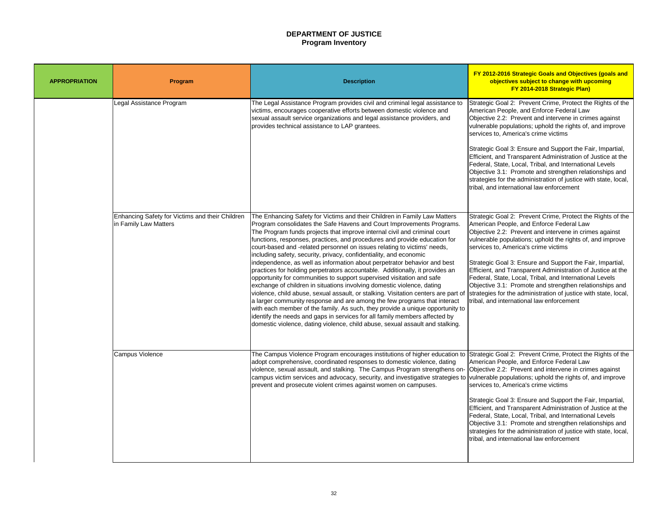# **DEPARTMENT OF JUSTICE Program Inventory**

Strategic Goal 2: Prevent Crime, Protect the Rights of the American People, and Enforce Federal Law Objective 2.2: Prevent and intervene in crimes against vulnerable populations; uphold the rights of, and improve services to, America's crime victims

Strategic Goal 3: Ensure and Support the Fair, Impartial, Efficient, and Transparent Administration of Justice at the Federal, State, Local, Tribal, and International Levels Objective 3.1: Promote and strengthen relationships and strategies for the administration of justice with state, local, tribal, and international law enforcement

| <b>APPROPRIATION</b> | <b>Program</b>                                                           | <b>Description</b>                                                                                                                                                                                                                                                                                                                                                                                                                                                                                                                                                                                                                                                                                                                                                                                                                                                                                                                                                                                                                                                                                                                                                                               |
|----------------------|--------------------------------------------------------------------------|--------------------------------------------------------------------------------------------------------------------------------------------------------------------------------------------------------------------------------------------------------------------------------------------------------------------------------------------------------------------------------------------------------------------------------------------------------------------------------------------------------------------------------------------------------------------------------------------------------------------------------------------------------------------------------------------------------------------------------------------------------------------------------------------------------------------------------------------------------------------------------------------------------------------------------------------------------------------------------------------------------------------------------------------------------------------------------------------------------------------------------------------------------------------------------------------------|
|                      | Legal Assistance Program                                                 | The Legal Assistance Program provides civil and criminal legal assistance to<br>victims, encourages cooperative efforts between domestic violence and<br>sexual assault service organizations and legal assistance providers, and<br>provides technical assistance to LAP grantees.                                                                                                                                                                                                                                                                                                                                                                                                                                                                                                                                                                                                                                                                                                                                                                                                                                                                                                              |
|                      | Enhancing Safety for Victims and their Children<br>in Family Law Matters | The Enhancing Safety for Victims and their Children in Family Law Matters<br>Program consolidates the Safe Havens and Court Improvements Programs.<br>The Program funds projects that improve internal civil and criminal court<br>functions, responses, practices, and procedures and provide education for<br>court-based and -related personnel on issues relating to victims' needs,<br>including safety, security, privacy, confidentiality, and economic<br>independence, as well as information about perpetrator behavior and best<br>practices for holding perpetrators accountable. Additionally, it provides an<br>opportunity for communities to support supervised visitation and safe<br>exchange of children in situations involving domestic violence, dating<br>violence, child abuse, sexual assault, or stalking. Visitation centers are part of<br>a larger community response and are among the few programs that interact<br>with each member of the family. As such, they provide a unique opportunity to<br>lidentify the needs and gaps in services for all family members affected by<br>domestic violence, dating violence, child abuse, sexual assault and stalking. |
|                      | <b>Campus Violence</b>                                                   | The Campus Violence Program encourages institutions of higher education to<br>adopt comprehensive, coordinated responses to domestic violence, dating<br>violence, sexual assault, and stalking. The Campus Program strengthens on-<br>campus victim services and advocacy, security, and investigative strategies to<br>prevent and prosecute violent crimes against women on campuses.                                                                                                                                                                                                                                                                                                                                                                                                                                                                                                                                                                                                                                                                                                                                                                                                         |

Strategic Goal 2: Prevent Crime, Protect the Rights of the American People, and Enforce Federal Law Objective 2.2: Prevent and intervene in crimes against vulnerable populations; uphold the rights of, and improve services to, America's crime victims

Strategic Goal 3: Ensure and Support the Fair, Impartial, Efficient, and Transparent Administration of Justice at the Federal, State, Local, Tribal, and International Levels Objective 3.1: Promote and strengthen relationships and strategies for the administration of justice with state, local, tribal, and international law enforcement

Strategic Goal 2: Prevent Crime, Protect the Rights of the American People, and Enforce Federal Law Objective 2.2: Prevent and intervene in crimes against vulnerable populations; uphold the rights of, and improve services to, America's crime victims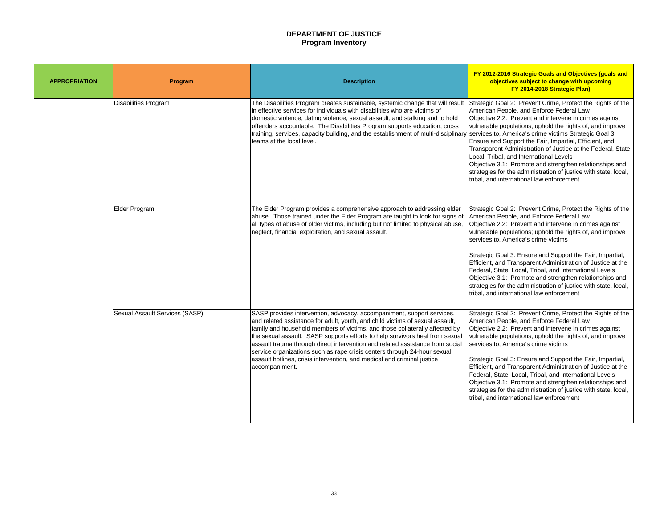# **DEPARTMENT OF JUSTICE Program Inventory**

strategies for the administration of justice with state, local, tribal, and international law enforcement

Strategic Goal 2: Prevent Crime, Protect the Rights of the American People, and Enforce Federal Law Objective 2.2: Prevent and intervene in crimes against vulnerable populations; uphold the rights of, and improve services to, America's crime victims Strategic Goal 3: Ensure and Support the Fair, Impartial, Efficient, and Transparent Administration of Justice at the Federal, State, Local, Tribal, and International Levels Objective 3.1: Promote and strengthen relationships and

| <b>APPROPRIATION</b> | Program                               | <b>Description</b>                                                                                                                                                                                                                                                                                                                                                                                                                                                                                                                                                               |
|----------------------|---------------------------------------|----------------------------------------------------------------------------------------------------------------------------------------------------------------------------------------------------------------------------------------------------------------------------------------------------------------------------------------------------------------------------------------------------------------------------------------------------------------------------------------------------------------------------------------------------------------------------------|
|                      | Disabilities Program                  | The Disabilities Program creates sustainable, systemic change that will result<br>In effective services for individuals with disabilities who are victims of<br>domestic violence, dating violence, sexual assault, and stalking and to hold<br>offenders accountable. The Disabilities Program supports education, cross<br>training, services, capacity building, and the establishment of multi-disciplinary<br>teams at the local level.                                                                                                                                     |
|                      | Elder Program                         | The Elder Program provides a comprehensive approach to addressing elder<br>abuse. Those trained under the Elder Program are taught to look for signs of<br>all types of abuse of older victims, including but not limited to physical abuse,<br>neglect, financial exploitation, and sexual assault.                                                                                                                                                                                                                                                                             |
|                      | <b>Sexual Assault Services (SASP)</b> | SASP provides intervention, advocacy, accompaniment, support services,<br>and related assistance for adult, youth, and child victims of sexual assault,<br>family and household members of victims, and those collaterally affected by<br>the sexual assault. SASP supports efforts to help survivors heal from sexual<br>assault trauma through direct intervention and related assistance from social<br>service organizations such as rape crisis centers through 24-hour sexual<br>assault hotlines, crisis intervention, and medical and criminal justice<br>accompaniment. |

Strategic Goal 2: Prevent Crime, Protect the Rights of the American People, and Enforce Federal Law Objective 2.2: Prevent and intervene in crimes against vulnerable populations; uphold the rights of, and improve services to, America's crime victims

Strategic Goal 3: Ensure and Support the Fair, Impartial, Efficient, and Transparent Administration of Justice at the Federal, State, Local, Tribal, and International Levels Objective 3.1: Promote and strengthen relationships and strategies for the administration of justice with state, local, tribal, and international law enforcement

Strategic Goal 2: Prevent Crime, Protect the Rights of the American People, and Enforce Federal Law Objective 2.2: Prevent and intervene in crimes against vulnerable populations; uphold the rights of, and improve services to, America's crime victims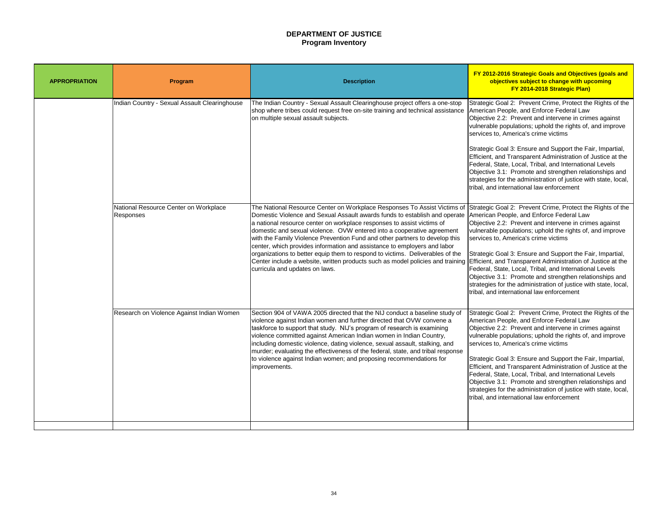# **DEPARTMENT OF JUSTICE Program Inventory**

Strategic Goal 2: Prevent Crime, Protect the Rights of the American People, and Enforce Federal Law Objective 2.2: Prevent and intervene in crimes against vulnerable populations; uphold the rights of, and improve services to, America's crime victims

Strategic Goal 3: Ensure and Support the Fair, Impartial, Efficient, and Transparent Administration of Justice at the Federal, State, Local, Tribal, and International Levels Objective 3.1: Promote and strengthen relationships and strategies for the administration of justice with state, local, tribal, and international law enforcement

| <b>APPROPRIATION</b> | <b>Program</b>                                            | <b>Description</b>                                                                                                                                                                                                                                                                                                                                                                                                                                                                                                                                                                                                                                                         |
|----------------------|-----------------------------------------------------------|----------------------------------------------------------------------------------------------------------------------------------------------------------------------------------------------------------------------------------------------------------------------------------------------------------------------------------------------------------------------------------------------------------------------------------------------------------------------------------------------------------------------------------------------------------------------------------------------------------------------------------------------------------------------------|
|                      | Indian Country - Sexual Assault Clearinghouse             | The Indian Country - Sexual Assault Clearinghouse project offers a one-stop<br>shop where tribes could request free on-site training and technical assistance<br>on multiple sexual assault subjects.                                                                                                                                                                                                                                                                                                                                                                                                                                                                      |
|                      | National Resource Center on Workplace<br><b>Responses</b> | The National Resource Center on Workplace Responses To Assist Victims of<br>Domestic Violence and Sexual Assault awards funds to establish and operate<br>a national resource center on workplace responses to assist victims of<br>domestic and sexual violence. OVW entered into a cooperative agreement<br>with the Family Violence Prevention Fund and other partners to develop this<br>center, which provides information and assistance to employers and labor<br>organizations to better equip them to respond to victims. Deliverables of the<br>Center include a website, written products such as model policies and training<br>curricula and updates on laws. |
|                      | Research on Violence Against Indian Women                 | Section 904 of VAWA 2005 directed that the NIJ conduct a baseline study of<br>violence against Indian women and further directed that OVW convene a<br>taskforce to support that study. NIJ's program of research is examining<br>violence committed against American Indian women in Indian Country,<br>including domestic violence, dating violence, sexual assault, stalking, and<br>murder; evaluating the effectiveness of the federal, state, and tribal response<br>to violence against Indian women; and proposing recommendations for<br>improvements.                                                                                                            |

Strategic Goal 2: Prevent Crime, Protect the Rights of the American People, and Enforce Federal Law Objective 2.2: Prevent and intervene in crimes against vulnerable populations; uphold the rights of, and improve services to, America's crime victims

Strategic Goal 3: Ensure and Support the Fair, Impartial, Efficient, and Transparent Administration of Justice at the Federal, State, Local, Tribal, and International Levels Objective 3.1: Promote and strengthen relationships and strategies for the administration of justice with state, local, tribal, and international law enforcement

Strategic Goal 2: Prevent Crime, Protect the Rights of the American People, and Enforce Federal Law Objective 2.2: Prevent and intervene in crimes against vulnerable populations; uphold the rights of, and improve services to, America's crime victims